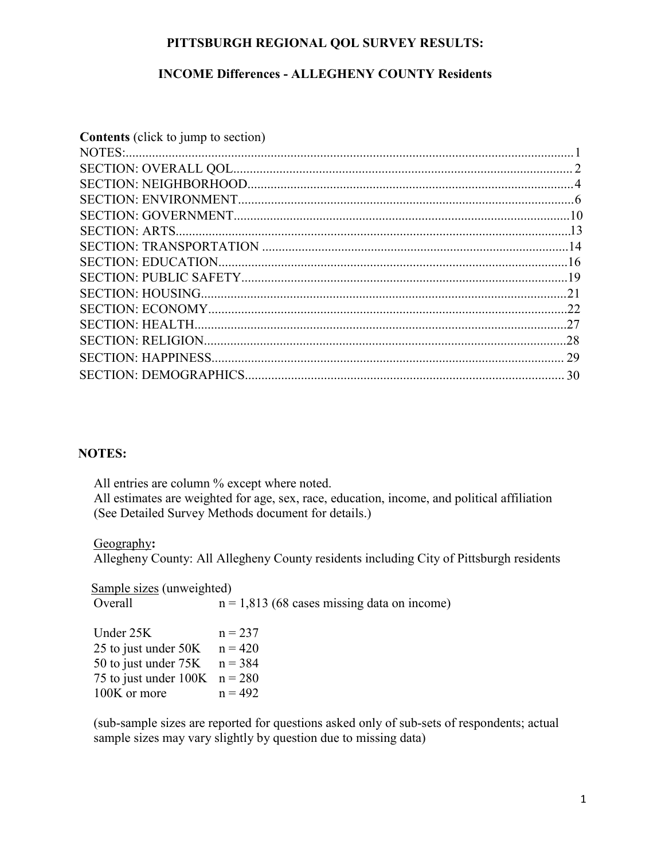### **PITTSBURGH REGIONAL QOL SURVEY RESULTS:**

### **INCOME Differences - ALLEGHENY COUNTY Residents**

| <b>Contents</b> (click to jump to section) |  |
|--------------------------------------------|--|
|                                            |  |
|                                            |  |
|                                            |  |
|                                            |  |
|                                            |  |
|                                            |  |
|                                            |  |
|                                            |  |
|                                            |  |
|                                            |  |
|                                            |  |
|                                            |  |
|                                            |  |
|                                            |  |
|                                            |  |
|                                            |  |

#### **NOTES:**

All entries are column % except where noted. All estimates are weighted for age, sex, race, education, income, and political affiliation (See Detailed Survey Methods document for details.)

#### Geography**:**

Allegheny County: All Allegheny County residents including City of Pittsburgh residents

**Sample sizes** (unweighted) Overall  $n = 1,813$  (68 cases missing data on income)

| $n = 237$                       |
|---------------------------------|
| $n = 420$                       |
| $n = 384$                       |
| 75 to just under $100K$ n = 280 |
| $n = 492$                       |
|                                 |

(sub-sample sizes are reported for questions asked only of sub-sets of respondents; actual sample sizes may vary slightly by question due to missing data)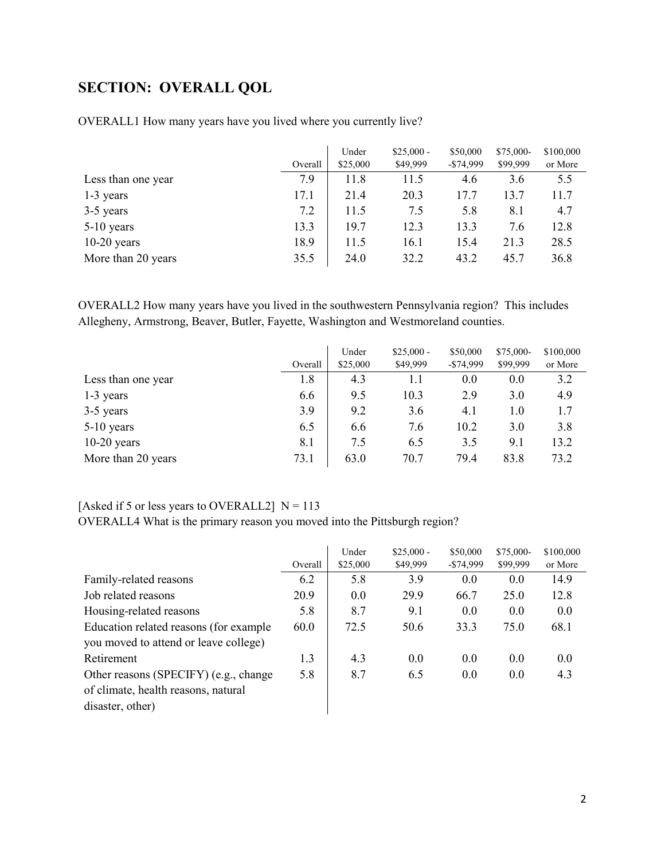# <span id="page-1-0"></span>**SECTION: OVERALL QOL**

|                    | Overall | Under<br>\$25,000 | $$25,000 -$<br>\$49,999 | \$50,000<br>$-$74.999$ | \$75,000-<br>\$99,999 | \$100,000<br>or More |
|--------------------|---------|-------------------|-------------------------|------------------------|-----------------------|----------------------|
| Less than one year | 7.9     | 11.8              | 11.5                    | 4.6                    | 3.6                   | 5.5                  |
| 1-3 years          | 17.1    | 21.4              | 20.3                    | 17.7                   | 13.7                  | 11.7                 |
| 3-5 years          | 7.2     | 11.5              | 7.5                     | 5.8                    | 8.1                   | 4.7                  |
| $5-10$ years       | 13.3    | 19.7              | 12.3                    | 13.3                   | 7.6                   | 12.8                 |
| $10-20$ years      | 18.9    | 11.5              | 16.1                    | 15.4                   | 21.3                  | 28.5                 |
| More than 20 years | 35.5    | 24.0              | 32.2                    | 43.2                   | 45.7                  | 36.8                 |

OVERALL1 How many years have you lived where you currently live?

OVERALL2 How many years have you lived in the southwestern Pennsylvania region? This includes Allegheny, Armstrong, Beaver, Butler, Fayette, Washington and Westmoreland counties.

|                    | Overall | Under<br>\$25,000 | $$25,000 -$<br>\$49,999 | \$50,000<br>$-$ \$74,999 | \$75,000-<br>\$99,999 | \$100,000<br>or More |
|--------------------|---------|-------------------|-------------------------|--------------------------|-----------------------|----------------------|
| Less than one year | 1.8     | 4.3               | 1.1                     | 0.0                      | 0.0                   | 3.2                  |
| 1-3 years          | 6.6     | 9.5               | 10.3                    | 2.9                      | 3.0                   | 4.9                  |
| 3-5 years          | 3.9     | 9.2               | 3.6                     | 4.1                      | 1.0                   | 1.7                  |
| $5-10$ years       | 6.5     | 6.6               | 7.6                     | 10.2                     | 3.0                   | 3.8                  |
| $10-20$ years      | 8.1     | 7.5               | 6.5                     | 3.5                      | 9.1                   | 13.2                 |
| More than 20 years | 73.1    | 63.0              | 70.7                    | 79.4                     | 83.8                  | 73.2                 |

### [Asked if 5 or less years to OVERALL2]  $N = 113$

OVERALL4 What is the primary reason you moved into the Pittsburgh region?

|                                        |         | Under    | $$25,000 -$ | \$50,000   | \$75,000- | \$100,000 |
|----------------------------------------|---------|----------|-------------|------------|-----------|-----------|
|                                        | Overall | \$25,000 | \$49,999    | $-$74,999$ | \$99,999  | or More   |
| Family-related reasons                 | 6.2     | 5.8      | 3.9         | 0.0        | 0.0       | 14.9      |
| Job related reasons                    | 20.9    | 0.0      | 29.9        | 66.7       | 25.0      | 12.8      |
| Housing-related reasons                | 5.8     | 8.7      | 9.1         | 0.0        | 0.0       | 0.0       |
| Education related reasons (for example | 60.0    | 72.5     | 50.6        | 33.3       | 75.0      | 68.1      |
| you moved to attend or leave college)  |         |          |             |            |           |           |
| Retirement                             | 1.3     | 4.3      | 0.0         | 0.0        | 0.0       | 0.0       |
| Other reasons (SPECIFY) (e.g., change  | 5.8     | 8.7      | 6.5         | 0.0        | 0.0       | 4.3       |
| of climate, health reasons, natural    |         |          |             |            |           |           |
| disaster, other)                       |         |          |             |            |           |           |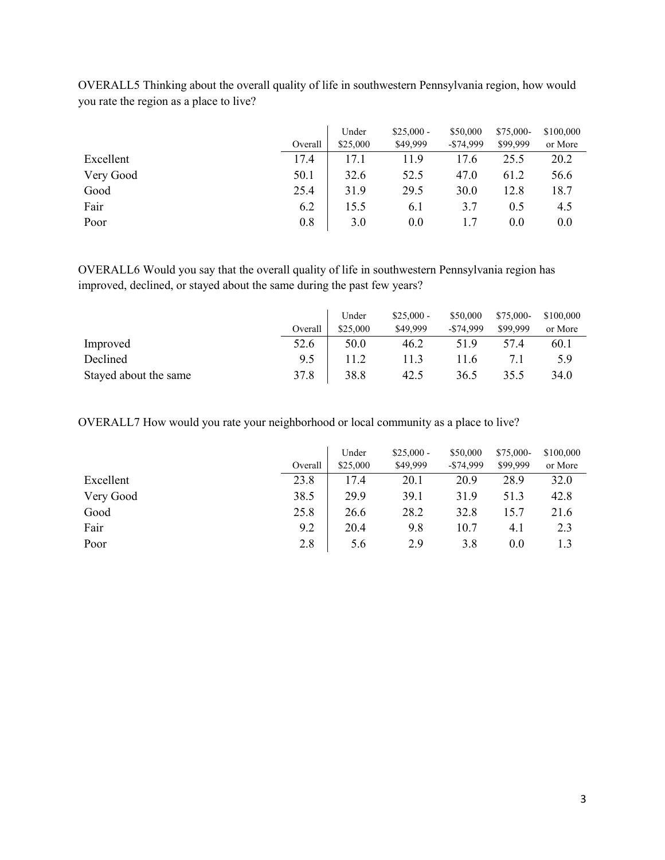|           |         | Under    | $$25,000 -$ | \$50,000     | \$75,000- | \$100,000 |
|-----------|---------|----------|-------------|--------------|-----------|-----------|
|           | Overall | \$25,000 | \$49,999    | $-$ \$74,999 | \$99,999  | or More   |
| Excellent | 17.4    | 17.1     | 11.9        | 17.6         | 25.5      | 20.2      |
| Very Good | 50.1    | 32.6     | 52.5        | 47.0         | 61.2      | 56.6      |
| Good      | 25.4    | 31.9     | 29.5        | 30.0         | 12.8      | 18.7      |
| Fair      | 6.2     | 15.5     | 6.1         | 3.7          | 0.5       | 4.5       |
| Poor      | 0.8     | 3.0      | 0.0         | 1.7          | 0.0       | 0.0       |

OVERALL5 Thinking about the overall quality of life in southwestern Pennsylvania region, how would you rate the region as a place to live?

OVERALL6 Would you say that the overall quality of life in southwestern Pennsylvania region has improved, declined, or stayed about the same during the past few years?

|                       |         | Under    | $$25,000-$ | \$50,000     | $$75,000-$ | \$100,000 |
|-----------------------|---------|----------|------------|--------------|------------|-----------|
|                       | Overall | \$25,000 | \$49,999   | $-$ \$74.999 | \$99,999   | or More   |
| Improved              | 52.6    | 50.0     | 46.2       | 51.9         | 57.4       | 60.1      |
| Declined              | 9.5     |          | 11.3       | 1.6          |            | 5.9       |
| Stayed about the same | 37.8    | 38.8     | 42.5       | 36.5         | 35.5       | 34.0      |

OVERALL7 How would you rate your neighborhood or local community as a place to live?

|           | Overall | Under<br>\$25,000 | $$25,000 -$<br>\$49,999 | \$50,000<br>$-$ \$74,999 | \$75,000-<br>\$99,999 | \$100,000<br>or More |
|-----------|---------|-------------------|-------------------------|--------------------------|-----------------------|----------------------|
| Excellent | 23.8    | 17.4              | 20.1                    | 20.9                     | 28.9                  | 32.0                 |
| Very Good | 38.5    | 29.9              | 39.1                    | 31.9                     | 51.3                  | 42.8                 |
| Good      | 25.8    | 26.6              | 28.2                    | 32.8                     | 15.7                  | 21.6                 |
| Fair      | 9.2     | 20.4              | 9.8                     | 10.7                     | 4.1                   | 2.3                  |
| Poor      | 2.8     | 5.6               | 2.9                     | 3.8                      | 0.0                   | 1.3                  |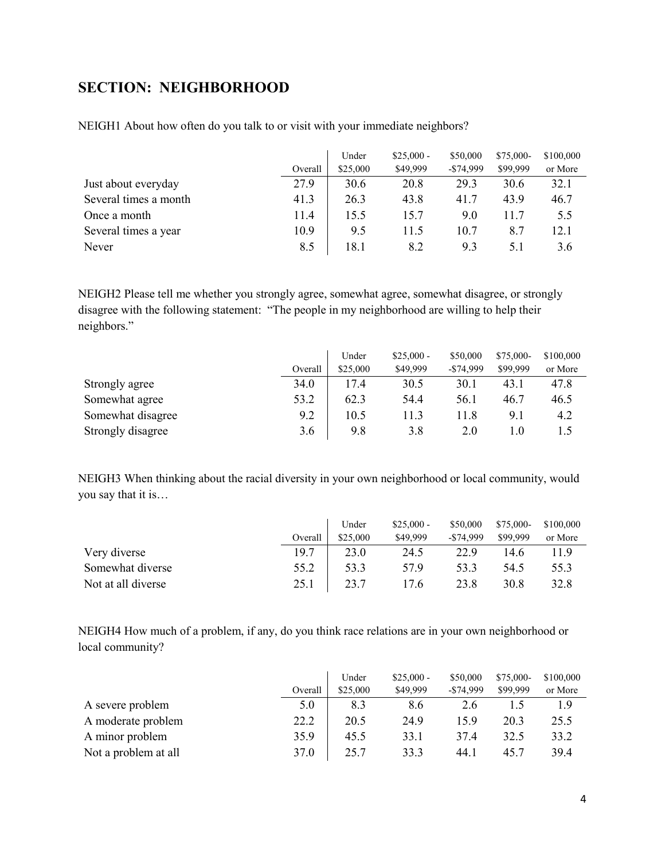# <span id="page-3-0"></span>**SECTION: NEIGHBORHOOD**

|                       | Overall | Under<br>\$25,000 | $$25,000 -$<br>\$49,999 | \$50,000<br>$-$ \$74,999 | \$75,000-<br>\$99,999 | \$100,000<br>or More |
|-----------------------|---------|-------------------|-------------------------|--------------------------|-----------------------|----------------------|
| Just about everyday   | 27.9    | 30.6              | 20.8                    | 29.3                     | 30.6                  | 32.1                 |
| Several times a month | 41.3    | 26.3              | 43.8                    | 41.7                     | 43.9                  | 46.7                 |
| Once a month          | 11.4    | 15.5              | 15.7                    | 9.0                      | 11.7                  | 5.5                  |
| Several times a year  | 10.9    | 9.5               | 11.5                    | 10.7                     | 8.7                   | 12.1                 |
| Never                 | 8.5     | 18.1              | 8.2                     | 9.3                      | 5.1                   | 3.6                  |

NEIGH1 About how often do you talk to or visit with your immediate neighbors?

NEIGH2 Please tell me whether you strongly agree, somewhat agree, somewhat disagree, or strongly disagree with the following statement: "The people in my neighborhood are willing to help their neighbors."

|                   |         | Under    | $$25,000 -$ | \$50,000   | \$75,000- | \$100,000 |
|-------------------|---------|----------|-------------|------------|-----------|-----------|
|                   | Overall | \$25,000 | \$49,999    | $-$74,999$ | \$99,999  | or More   |
| Strongly agree    | 34.0    | 17.4     | 30.5        | 30.1       | 43.1      | 47.8      |
| Somewhat agree    | 53.2    | 62.3     | 54.4        | 56.1       | 46.7      | 46.5      |
| Somewhat disagree | 9.2     | 10.5     | 11.3        | 11.8       | 9.1       | 4.2       |
| Strongly disagree | 3.6     | 9.8      | 3.8         | 2.0        | l .O      |           |

NEIGH3 When thinking about the racial diversity in your own neighborhood or local community, would you say that it is…

|                    |         | Under    | $$25,000 -$ | \$50,000     | $$75,000-$ | \$100,000 |
|--------------------|---------|----------|-------------|--------------|------------|-----------|
|                    | Overall | \$25,000 | \$49,999    | $-$ \$74,999 | \$99,999   | or More   |
| Very diverse       | 19.7    | 23.0     | 24.5        | 22.9         | 14.6       | 11.9      |
| Somewhat diverse   | 55.2    | 53.3     | 57.9        | 53.3         | 54.5       | 55.3      |
| Not at all diverse | 25.1    | 23.7     | 17.6        | 23.8         | 30.8       | 32.8      |

NEIGH4 How much of a problem, if any, do you think race relations are in your own neighborhood or local community?

|                      |         | Under    | $$25,000 -$ | \$50,000     | $$75,000-$ | \$100,000 |
|----------------------|---------|----------|-------------|--------------|------------|-----------|
|                      | Overall | \$25,000 | \$49,999    | $-$ \$74,999 | \$99,999   | or More   |
| A severe problem     | 5.0     | 8.3      | 8.6         | 2.6          |            | 1.9       |
| A moderate problem   | 22.2    | 20.5     | 24.9        | 15.9         | 20.3       | 25.5      |
| A minor problem      | 35.9    | 45.5     | 33.1        | 37.4         | 32.5       | 33.2      |
| Not a problem at all | 37.0    | 25.7     | 33.3        | 44.1         | 45.7       | 39.4      |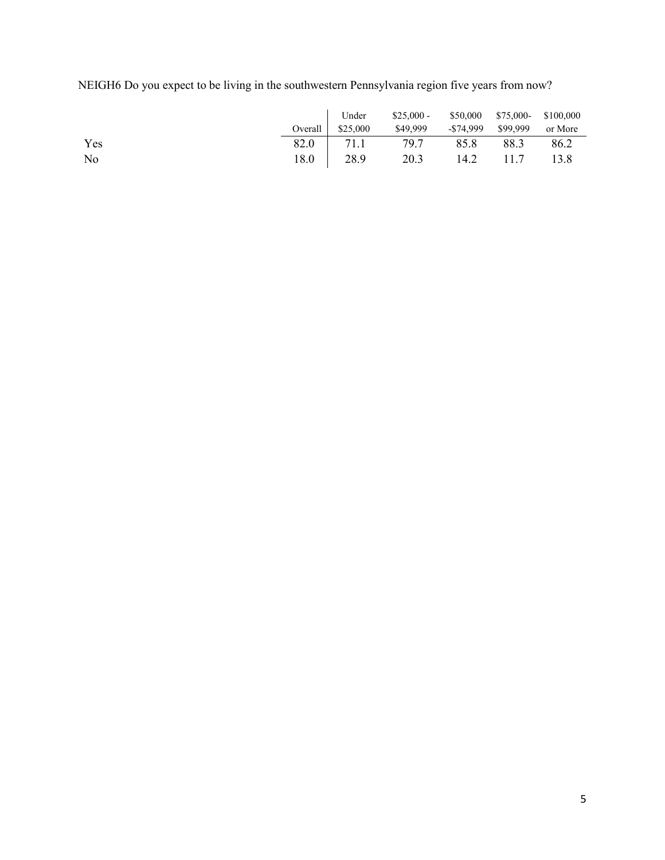NEIGH6 Do you expect to be living in the southwestern Pennsylvania region five years from now?

|     |                   | Under \$25,000 - \$50,000 \$75,000 \$100,000 |  |         |
|-----|-------------------|----------------------------------------------|--|---------|
|     | Overall $$25,000$ | \$49,999 -\$74,999 \$99,999                  |  | or More |
| Yes |                   | 82.0 71.1 79.7 85.8 88.3                     |  | 86.2    |
| No  |                   |                                              |  |         |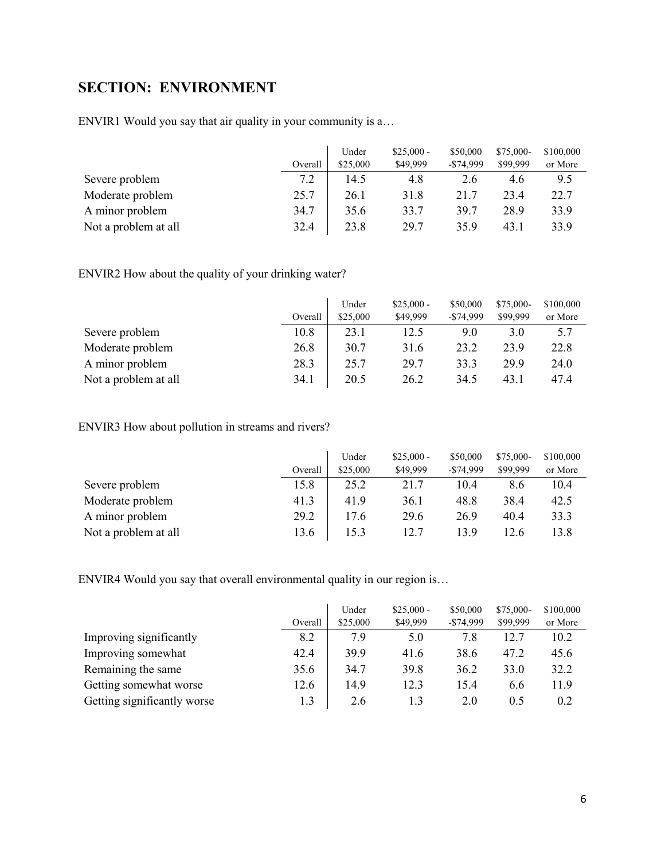# <span id="page-5-0"></span>**SECTION: ENVIRONMENT**

ENVIR1 Would you say that air quality in your community is a…

|                      |         | Under    | $$25,000 -$ | \$50,000     | $$75,000-$ | \$100,000 |
|----------------------|---------|----------|-------------|--------------|------------|-----------|
|                      | Overall | \$25,000 | \$49,999    | $-$ \$74,999 | \$99,999   | or More   |
| Severe problem       | 7.2     | 14.5     | 4.8         | 2.6          | 4.6        | 9.5       |
| Moderate problem     | 25.7    | 26.1     | 31.8        | 21.7         | 23.4       | 22.7      |
| A minor problem      | 34.7    | 35.6     | 33.7        | 39.7         | 28.9       | 33.9      |
| Not a problem at all | 32.4    | 23.8     | 29.7        | 35.9         | 43.1       | 33.9      |

ENVIR2 How about the quality of your drinking water?

|                      |         | Under    | $$25,000 -$ | \$50,000     | $$75,000-$ | \$100,000 |
|----------------------|---------|----------|-------------|--------------|------------|-----------|
|                      | Overall | \$25,000 | \$49,999    | $-$ \$74,999 | \$99,999   | or More   |
| Severe problem       | 10.8    | 23.1     | 12.5        | 9.0          | 3.0        | 5.7       |
| Moderate problem     | 26.8    | 30.7     | 31.6        | 23.2         | 23.9       | 22.8      |
| A minor problem      | 28.3    | 25.7     | 29.7        | 33.3         | 29.9       | 24.0      |
| Not a problem at all | 34.1    | 20.5     | 26.2        | 34.5         | 43.1       | 47.4      |

ENVIR3 How about pollution in streams and rivers?

|                      |         | Under    | $$25,000 -$ | \$50,000     | $$75,000-$ | \$100,000 |
|----------------------|---------|----------|-------------|--------------|------------|-----------|
|                      | Overall | \$25,000 | \$49,999    | $-$ \$74,999 | \$99,999   | or More   |
| Severe problem       | 15.8    | 25.2     | 21.7        | 10.4         | 8.6        | 10.4      |
| Moderate problem     | 41.3    | 41.9     | 36.1        | 48.8         | 38.4       | 42.5      |
| A minor problem      | 29.2    | 17.6     | 29.6        | 26.9         | 40.4       | 33.3      |
| Not a problem at all | 13.6    | 15.3     | 12.7        | 13.9         | 12.6       | 13.8      |

ENVIR4 Would you say that overall environmental quality in our region is…

|                             |         | Under    | $$25,000 -$ | \$50,000     | $$75,000-$ | \$100,000 |
|-----------------------------|---------|----------|-------------|--------------|------------|-----------|
|                             | Overall | \$25,000 | \$49,999    | $-$ \$74,999 | \$99,999   | or More   |
| Improving significantly     | 8.2     | 7.9      | 5.0         | 7.8          | 12.7       | 10.2      |
| Improving somewhat          | 42.4    | 39.9     | 41.6        | 38.6         | 47.2       | 45.6      |
| Remaining the same          | 35.6    | 34.7     | 39.8        | 36.2         | 33.0       | 32.2      |
| Getting somewhat worse      | 12.6    | 14.9     | 12.3        | 15.4         | 6.6        | 11.9      |
| Getting significantly worse | 1.3     | 2.6      |             | 2.0          | 0.5        | 0.2       |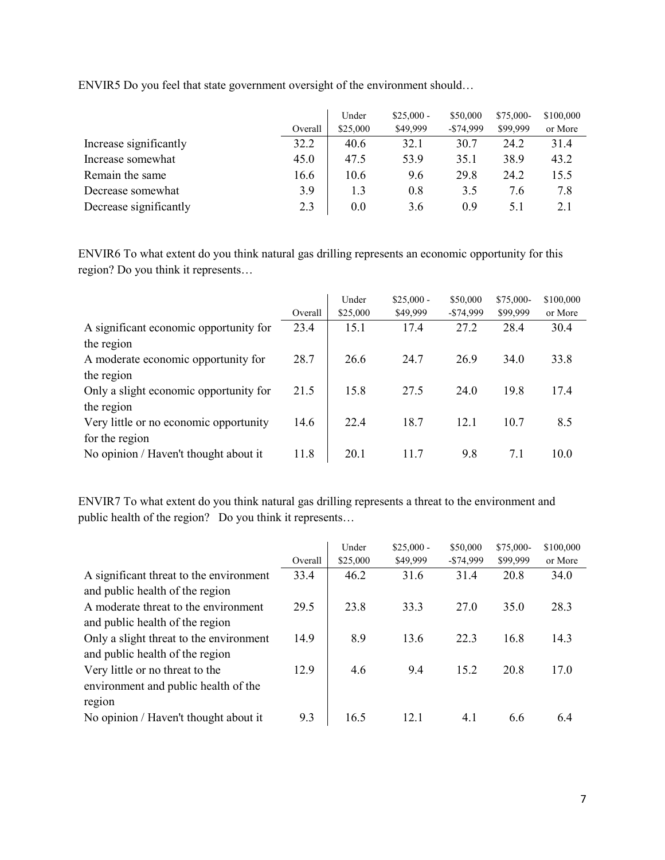|                        | Overall | Under<br>\$25,000 | $$25,000 -$<br>\$49,999 | \$50,000<br>$-$ \$74,999 | \$75,000-<br>\$99,999 | \$100,000<br>or More |
|------------------------|---------|-------------------|-------------------------|--------------------------|-----------------------|----------------------|
| Increase significantly | 32.2    | 40.6              | 32.1                    | 30.7                     | 24.2                  | 31.4                 |
| Increase somewhat      | 45.0    | 47.5              | 53.9                    | 35.1                     | 38.9                  | 43.2                 |
| Remain the same        | 16.6    | 10.6              | 9.6                     | 29.8                     | 24.2                  | 15.5                 |
| Decrease somewhat      | 3.9     | 1.3               | 0.8                     | 3.5                      | 7.6                   | 7.8                  |
| Decrease significantly | 2.3     | 0.0               | 3.6                     | 0.9                      | 5.1                   | 2.1                  |

ENVIR5 Do you feel that state government oversight of the environment should…

ENVIR6 To what extent do you think natural gas drilling represents an economic opportunity for this region? Do you think it represents…

|                                        | Overall | Under<br>\$25,000 | $$25,000 -$<br>\$49,999 | \$50,000<br>$-$ \$74,999 | \$75,000-<br>\$99,999 | \$100,000<br>or More |
|----------------------------------------|---------|-------------------|-------------------------|--------------------------|-----------------------|----------------------|
| A significant economic opportunity for | 23.4    | 15.1              | 17.4                    | 27.2                     | 28.4                  | 30.4                 |
| the region                             |         |                   |                         |                          |                       |                      |
| A moderate economic opportunity for    | 28.7    | 26.6              | 24.7                    | 26.9                     | 34.0                  | 33.8                 |
| the region                             |         |                   |                         |                          |                       |                      |
| Only a slight economic opportunity for | 21.5    | 15.8              | 27.5                    | 24.0                     | 19.8                  | 17.4                 |
| the region                             |         |                   |                         |                          |                       |                      |
| Very little or no economic opportunity | 14.6    | 22.4              | 18.7                    | 12.1                     | 10.7                  | 8.5                  |
| for the region                         |         |                   |                         |                          |                       |                      |
| No opinion / Haven't thought about it  | 11.8    | 20.1              | 11.7                    | 9.8                      | 7.1                   | 10.0                 |

ENVIR7 To what extent do you think natural gas drilling represents a threat to the environment and public health of the region? Do you think it represents…

|                                         | Overall | Under<br>\$25,000 | $$25,000 -$<br>\$49,999 | \$50,000<br>$-$74,999$ | \$75,000-<br>\$99,999 | \$100,000<br>or More |
|-----------------------------------------|---------|-------------------|-------------------------|------------------------|-----------------------|----------------------|
| A significant threat to the environment | 33.4    | 46.2              | 31.6                    | 31.4                   | 20.8                  | 34.0                 |
| and public health of the region         |         |                   |                         |                        |                       |                      |
| A moderate threat to the environment    | 29.5    | 23.8              | 33.3                    | 27.0                   | 35.0                  | 28.3                 |
| and public health of the region         |         |                   |                         |                        |                       |                      |
| Only a slight threat to the environment | 14.9    | 8.9               | 13.6                    | 22.3                   | 16.8                  | 14.3                 |
| and public health of the region         |         |                   |                         |                        |                       |                      |
| Very little or no threat to the         | 12.9    | 4.6               | 9.4                     | 15.2                   | 20.8                  | 17.0                 |
| environment and public health of the    |         |                   |                         |                        |                       |                      |
| region                                  |         |                   |                         |                        |                       |                      |
| No opinion / Haven't thought about it   | 9.3     | 16.5              | 12.1                    | 4.1                    | 6.6                   | 6.4                  |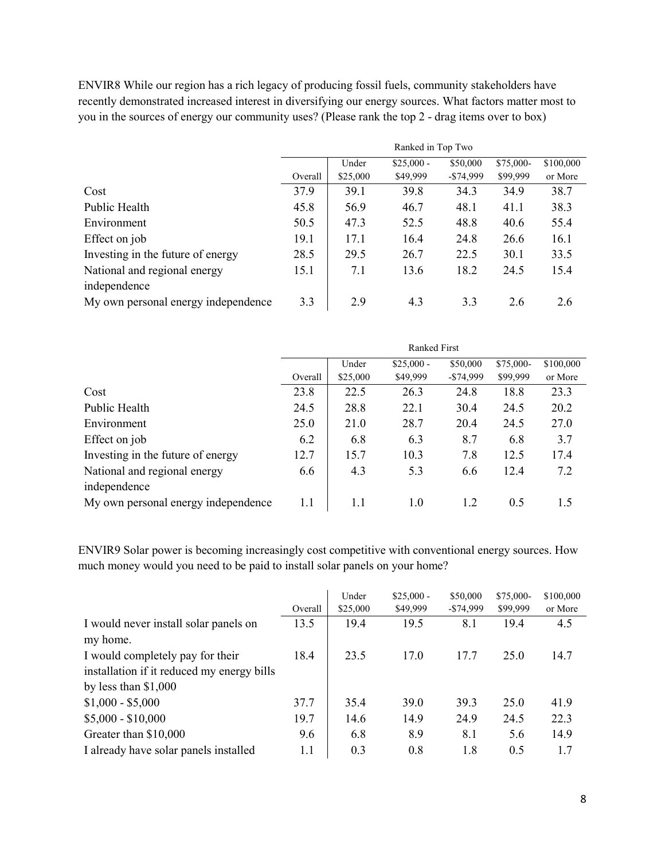ENVIR8 While our region has a rich legacy of producing fossil fuels, community stakeholders have recently demonstrated increased interest in diversifying our energy sources. What factors matter most to you in the sources of energy our community uses? (Please rank the top 2 - drag items over to box)

|                                     | Ranked in Top Two |          |             |            |           |           |  |
|-------------------------------------|-------------------|----------|-------------|------------|-----------|-----------|--|
|                                     |                   | Under    | $$25,000 -$ | \$50,000   | \$75,000- | \$100,000 |  |
|                                     | Overall           | \$25,000 | \$49,999    | $-$74,999$ | \$99,999  | or More   |  |
| Cost                                | 37.9              | 39.1     | 39.8        | 34.3       | 34.9      | 38.7      |  |
| Public Health                       | 45.8              | 56.9     | 46.7        | 48.1       | 41.1      | 38.3      |  |
| Environment                         | 50.5              | 47.3     | 52.5        | 48.8       | 40.6      | 55.4      |  |
| Effect on job                       | 19.1              | 17.1     | 16.4        | 24.8       | 26.6      | 16.1      |  |
| Investing in the future of energy   | 28.5              | 29.5     | 26.7        | 22.5       | 30.1      | 33.5      |  |
| National and regional energy        | 15.1              | 7.1      | 13.6        | 18.2       | 24.5      | 15.4      |  |
| independence                        |                   |          |             |            |           |           |  |
| My own personal energy independence | 3.3               | 2.9      | 4.3         | 3.3        | 2.6       | 2.6       |  |

|                                     | <b>Ranked First</b> |          |             |              |           |           |  |
|-------------------------------------|---------------------|----------|-------------|--------------|-----------|-----------|--|
|                                     |                     | Under    | $$25,000 -$ | \$50,000     | \$75,000- | \$100,000 |  |
|                                     | Overall             | \$25,000 | \$49,999    | $-$ \$74,999 | \$99,999  | or More   |  |
| Cost                                | 23.8                | 22.5     | 26.3        | 24.8         | 18.8      | 23.3      |  |
| Public Health                       | 24.5                | 28.8     | 22.1        | 30.4         | 24.5      | 20.2      |  |
| Environment                         | 25.0                | 21.0     | 28.7        | 20.4         | 24.5      | 27.0      |  |
| Effect on job                       | 6.2                 | 6.8      | 6.3         | 8.7          | 6.8       | 3.7       |  |
| Investing in the future of energy   | 12.7                | 15.7     | 10.3        | 7.8          | 12.5      | 17.4      |  |
| National and regional energy        | 6.6                 | 4.3      | 5.3         | 6.6          | 12.4      | 7.2       |  |
| independence                        |                     |          |             |              |           |           |  |
| My own personal energy independence | 1.1                 | 1.1      | 1.0         | 1.2          | 0.5       | 1.5       |  |

ENVIR9 Solar power is becoming increasingly cost competitive with conventional energy sources. How much money would you need to be paid to install solar panels on your home?

|                                            | Overall | Under<br>\$25,000 | $$25,000 -$<br>\$49,999 | \$50,000<br>$-$74,999$ | \$75,000-<br>\$99,999 | \$100,000<br>or More |
|--------------------------------------------|---------|-------------------|-------------------------|------------------------|-----------------------|----------------------|
|                                            |         |                   |                         |                        |                       |                      |
| I would never install solar panels on      | 13.5    | 19.4              | 19.5                    | 8.1                    | 19.4                  | 4.5                  |
| my home.                                   |         |                   |                         |                        |                       |                      |
| I would completely pay for their           | 18.4    | 23.5              | 17.0                    | 17.7                   | 25.0                  | 14.7                 |
| installation if it reduced my energy bills |         |                   |                         |                        |                       |                      |
| by less than $$1,000$                      |         |                   |                         |                        |                       |                      |
| $$1,000 - $5,000$                          | 37.7    | 35.4              | 39.0                    | 39.3                   | 25.0                  | 41.9                 |
| $$5,000 - $10,000$                         | 19.7    | 14.6              | 14.9                    | 24.9                   | 24.5                  | 22.3                 |
| Greater than \$10,000                      | 9.6     | 6.8               | 8.9                     | 8.1                    | 5.6                   | 14.9                 |
| I already have solar panels installed      | 1.1     | 0.3               | 0.8                     | 1.8                    | 0.5                   | 1.7                  |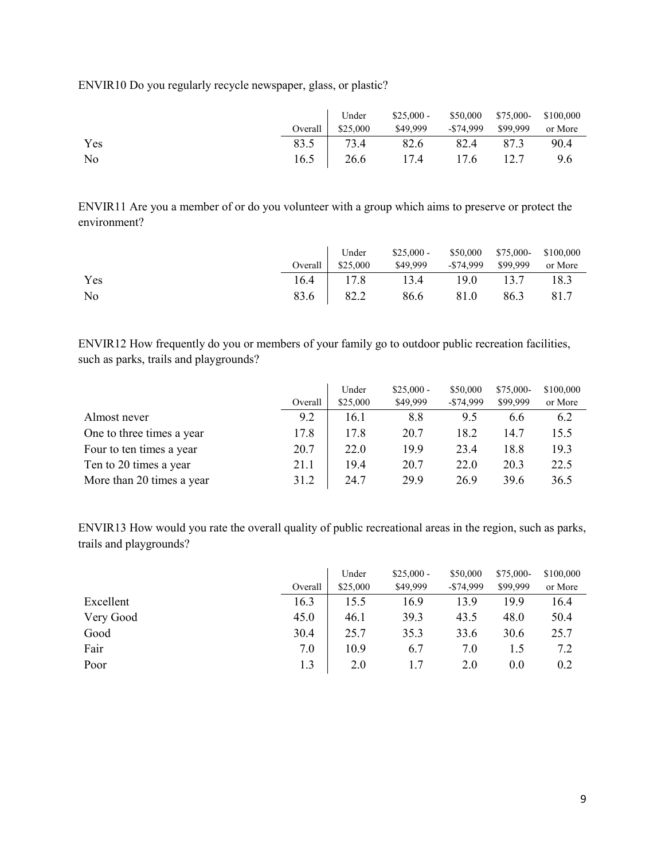ENVIR10 Do you regularly recycle newspaper, glass, or plastic?

|     |                   | Under \$25,000 - \$50,000 \$75,000 \$100,000 |  |         |
|-----|-------------------|----------------------------------------------|--|---------|
|     | Overall $$25,000$ | \$49,999 - \$74,999 \$99,999                 |  | or More |
| Yes |                   | 83.5 73.4 82.6 82.4 87.3                     |  | 90.4    |
| No  |                   | 16.5 26.6 17.4 17.6 12.7 9.6                 |  |         |

ENVIR11 Are you a member of or do you volunteer with a group which aims to preserve or protect the environment?

|     | Under             | $$25,000 - $50,000$ $$75,000 - $100,000$ |      |      |         |
|-----|-------------------|------------------------------------------|------|------|---------|
|     | Overall $$25,000$ | \$49,999 -\$74,999 \$99,999              |      |      | or More |
| Yes |                   | 16.4   17.8 13.4 19.0 13.7               |      |      | 18.3    |
| No  | 83.6 82.2         | 86.6                                     | 81.0 | 86.3 | 81.7    |

ENVIR12 How frequently do you or members of your family go to outdoor public recreation facilities, such as parks, trails and playgrounds?

|                           | Overall | Under<br>\$25,000 | $$25,000 -$<br>\$49,999 | \$50,000<br>$-$74,999$ | \$75,000-<br>\$99,999 | \$100,000<br>or More |
|---------------------------|---------|-------------------|-------------------------|------------------------|-----------------------|----------------------|
| Almost never              | 9.2     | 16.1              | 8.8                     | 9.5                    | 6.6                   | 6.2                  |
| One to three times a year | 17.8    | 17.8              | 20.7                    | 18.2                   | 14.7                  | 15.5                 |
| Four to ten times a year  | 20.7    | 22.0              | 19.9                    | 23.4                   | 18.8                  | 19.3                 |
| Ten to 20 times a year    | 21.1    | 19.4              | 20.7                    | 22.0                   | 20.3                  | 22.5                 |
| More than 20 times a year | 31.2    | 24.7              | 29.9                    | 26.9                   | 39.6                  | 36.5                 |

ENVIR13 How would you rate the overall quality of public recreational areas in the region, such as parks, trails and playgrounds?

|           |         | Under    | $$25,000 -$ | \$50,000   | \$75,000- | \$100,000 |
|-----------|---------|----------|-------------|------------|-----------|-----------|
|           | Overall | \$25,000 | \$49,999    | $-$74,999$ | \$99,999  | or More   |
| Excellent | 16.3    | 15.5     | 16.9        | 13.9       | 19.9      | 16.4      |
| Very Good | 45.0    | 46.1     | 39.3        | 43.5       | 48.0      | 50.4      |
| Good      | 30.4    | 25.7     | 35.3        | 33.6       | 30.6      | 25.7      |
| Fair      | 7.0     | 10.9     | 6.7         | 7.0        | 1.5       | 7.2       |
| Poor      | 1.3     | 2.0      |             | 2.0        | 0.0       | 0.2       |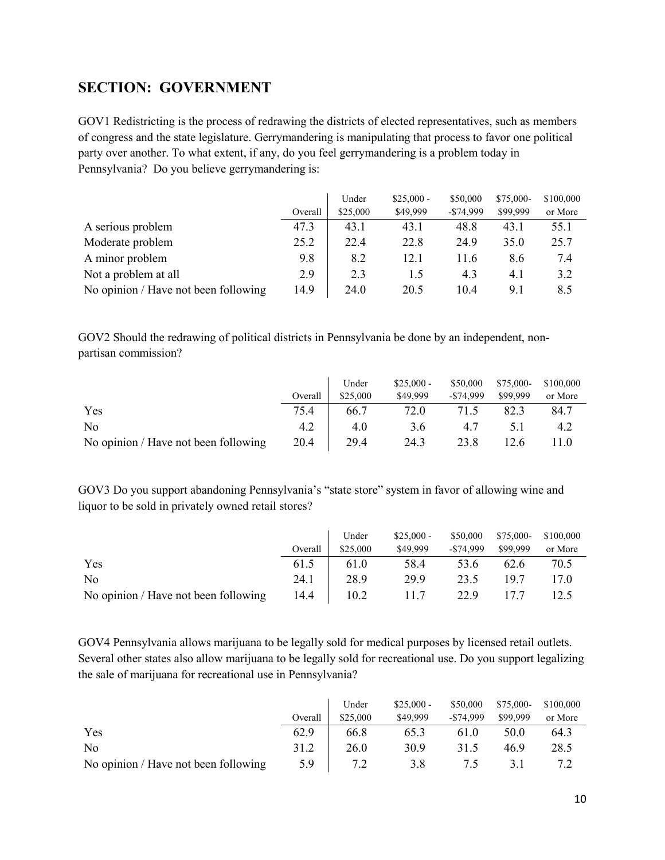## <span id="page-9-0"></span>**SECTION: GOVERNMENT**

GOV1 Redistricting is the process of redrawing the districts of elected representatives, such as members of congress and the state legislature. Gerrymandering is manipulating that process to favor one political party over another. To what extent, if any, do you feel gerrymandering is a problem today in Pennsylvania? Do you believe gerrymandering is:

|                                      |         | Under    | $$25,000 -$ | \$50,000     | \$75,000- | \$100,000 |
|--------------------------------------|---------|----------|-------------|--------------|-----------|-----------|
|                                      | Overall | \$25,000 | \$49,999    | $-$ \$74,999 | \$99,999  | or More   |
| A serious problem                    | 47.3    | 43.1     | 43.1        | 48.8         | 43.1      | 55.1      |
| Moderate problem                     | 25.2    | 22.4     | 22.8        | 24.9         | 35.0      | 25.7      |
| A minor problem                      | 9.8     | 8.2      | 12.1        | 11.6         | 8.6       | 7.4       |
| Not a problem at all                 | 2.9     | 2.3      | 1.5         | 4.3          | 4.1       | 3.2       |
| No opinion / Have not been following | 14.9    | 24.0     | 20.5        | 10.4         | 9.1       | 8.5       |

GOV2 Should the redrawing of political districts in Pennsylvania be done by an independent, nonpartisan commission?

|                                      |         | Under    | $$25,000 -$ | \$50,000     | \$75,000- | \$100,000 |
|--------------------------------------|---------|----------|-------------|--------------|-----------|-----------|
|                                      | Overall | \$25,000 | \$49,999    | $-$ \$74,999 | \$99,999  | or More   |
| Yes                                  | 75.4    | 66.7     | 72.0        | 71.5         | 82.3      | 84.7      |
| No                                   | 4.2     | 4.0      | 3.6         | 4.7          |           | 4.2       |
| No opinion / Have not been following | 20.4    | 29.4     | 24.3        | 23.8         | 12.6      | l 1.0     |

GOV3 Do you support abandoning Pennsylvania's "state store" system in favor of allowing wine and liquor to be sold in privately owned retail stores?

|                                      |         | Under    | $$25,000 -$ | \$50,000     | \$75,000- | \$100,000 |
|--------------------------------------|---------|----------|-------------|--------------|-----------|-----------|
|                                      | Overall | \$25,000 | \$49,999    | $-$ \$74,999 | \$99,999  | or More   |
| Yes                                  | 61.5    | 61.0     | 58.4        | 53.6         | 62.6      | 70.5      |
| No                                   | 24.1    | 28.9     | 29.9        | 23.5         | 19.7      | 17.0      |
| No opinion / Have not been following | 14.4    | 10.2     | 11.7        | 22.9         | 17.7      | 12.5      |

GOV4 Pennsylvania allows marijuana to be legally sold for medical purposes by licensed retail outlets. Several other states also allow marijuana to be legally sold for recreational use. Do you support legalizing the sale of marijuana for recreational use in Pennsylvania?

|                                      |         | Under    | $$25,000 -$ | \$50,000     | \$75,000- | \$100,000 |
|--------------------------------------|---------|----------|-------------|--------------|-----------|-----------|
|                                      | Overall | \$25,000 | \$49,999    | $-$ \$74,999 | \$99,999  | or More   |
| Yes                                  | 62.9    | 66.8     | 65.3        | 61.0         | 50.0      | 64.3      |
| N <sub>o</sub>                       | 31.2    | 26.0     | 30.9        | 31.5         | 46.9      | 28.5      |
| No opinion / Have not been following | 5.9     |          | 3.8         | 7.5          |           |           |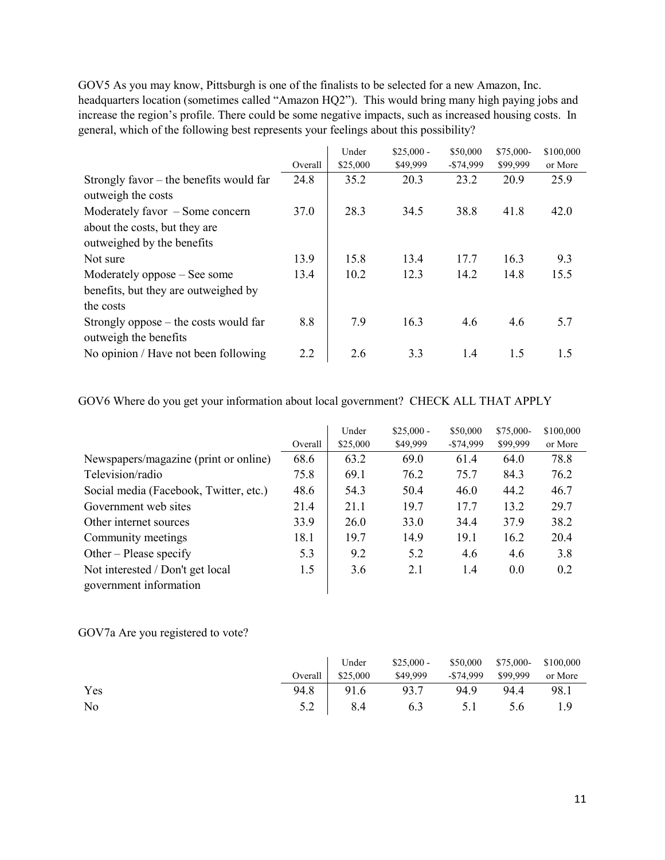GOV5 As you may know, Pittsburgh is one of the finalists to be selected for a new Amazon, Inc. headquarters location (sometimes called "Amazon HQ2"). This would bring many high paying jobs and increase the region's profile. There could be some negative impacts, such as increased housing costs. In general, which of the following best represents your feelings about this possibility?

|                                                                  |         | Under    | $$25,000 -$ | \$50,000   | \$75,000- | \$100,000 |
|------------------------------------------------------------------|---------|----------|-------------|------------|-----------|-----------|
|                                                                  | Overall | \$25,000 | \$49,999    | $-$74,999$ | \$99,999  | or More   |
| Strongly favor $-$ the benefits would far                        | 24.8    | 35.2     | 20.3        | 23.2       | 20.9      | 25.9      |
| outweigh the costs                                               |         |          |             |            |           |           |
| Moderately favor $-$ Some concern                                | 37.0    | 28.3     | 34.5        | 38.8       | 41.8      | 42.0      |
| about the costs, but they are                                    |         |          |             |            |           |           |
| outweighed by the benefits                                       |         |          |             |            |           |           |
| Not sure                                                         | 13.9    | 15.8     | 13.4        | 17.7       | 16.3      | 9.3       |
| Moderately oppose – See some                                     | 13.4    | 10.2     | 12.3        | 14.2       | 14.8      | 15.5      |
| benefits, but they are outweighed by                             |         |          |             |            |           |           |
| the costs                                                        |         |          |             |            |           |           |
| Strongly oppose $-$ the costs would far<br>outweigh the benefits | 8.8     | 7.9      | 16.3        | 4.6        | 4.6       | 5.7       |
| No opinion / Have not been following                             | 2.2     | 2.6      | 3.3         | 1.4        | 1.5       | 1.5       |

GOV6 Where do you get your information about local government? CHECK ALL THAT APPLY

|                                        |         | Under    | $$25,000 -$ | \$50,000     | $$75,000-$ | \$100,000 |
|----------------------------------------|---------|----------|-------------|--------------|------------|-----------|
|                                        | Overall | \$25,000 | \$49,999    | $-$ \$74,999 | \$99,999   | or More   |
| Newspapers/magazine (print or online)  | 68.6    | 63.2     | 69.0        | 61.4         | 64.0       | 78.8      |
| Television/radio                       | 75.8    | 69.1     | 76.2        | 75.7         | 84.3       | 76.2      |
| Social media (Facebook, Twitter, etc.) | 48.6    | 54.3     | 50.4        | 46.0         | 44.2       | 46.7      |
| Government web sites                   | 21.4    | 21.1     | 19.7        | 17.7         | 13.2       | 29.7      |
| Other internet sources                 | 33.9    | 26.0     | 33.0        | 34.4         | 37.9       | 38.2      |
| Community meetings                     | 18.1    | 19.7     | 14.9        | 19.1         | 16.2       | 20.4      |
| Other – Please specify                 | 5.3     | 9.2      | 5.2         | 4.6          | 4.6        | 3.8       |
| Not interested / Don't get local       | 1.5     | 3.6      | 2.1         | 1.4          | 0.0        | 0.2       |
| government information                 |         |          |             |              |            |           |

GOV7a Are you registered to vote?

|     |                   | Under \$25,000 - \$50,000 \$75,000 \$100,000 |  |         |
|-----|-------------------|----------------------------------------------|--|---------|
|     | Overall $$25,000$ | \$49,999 - \$74,999 \$99,999                 |  | or More |
| Yes |                   | 94.8 91.6 93.7 94.9 94.4 98.1                |  |         |
| No  |                   | 5.2 8.4 6.3 5.1 5.6 1.9                      |  |         |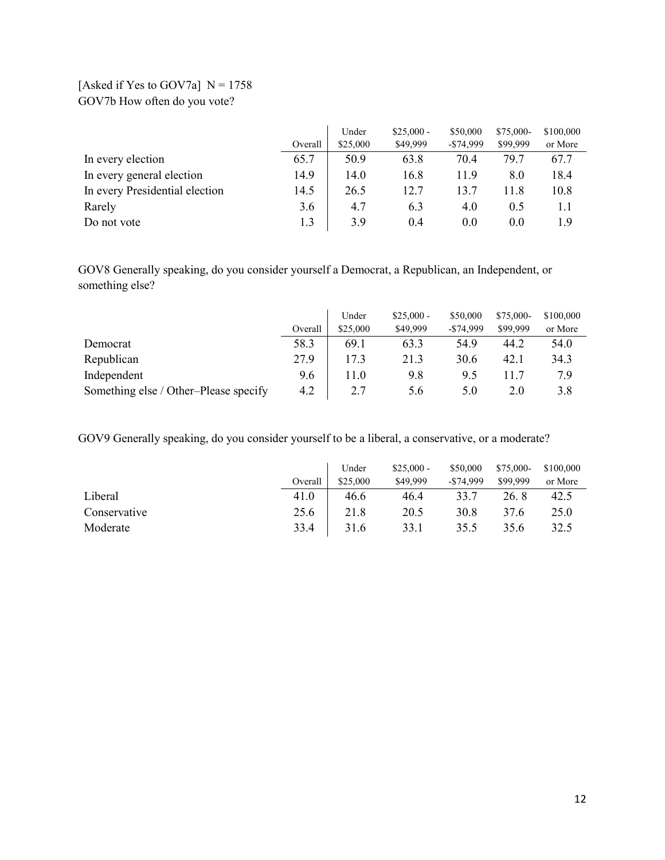## [Asked if Yes to GOV7a]  $N = 1758$ GOV7b How often do you vote?

|                                |         | Under    | $$25,000 -$ | \$50,000     | \$75,000- | \$100,000 |
|--------------------------------|---------|----------|-------------|--------------|-----------|-----------|
|                                | Overall | \$25,000 | \$49,999    | $-$ \$74,999 | \$99,999  | or More   |
| In every election              | 65.7    | 50.9     | 63.8        | 70.4         | 79.7      | 67.7      |
| In every general election      | 14.9    | 14.0     | 16.8        | 11.9         | 8.0       | 18.4      |
| In every Presidential election | 14.5    | 26.5     | 12.7        | 13.7         | 11.8      | 10.8      |
| Rarely                         | 3.6     | 4.7      | 6.3         | 4.0          | 0.5       | 1.1       |
| Do not vote                    | 1.3     | 3.9      | 0.4         | 0.0          | 0.0       | 1.9       |

GOV8 Generally speaking, do you consider yourself a Democrat, a Republican, an Independent, or something else?

|                                       |         | Under    | $$25,000 -$ | \$50,000     | \$75,000- | \$100,000 |
|---------------------------------------|---------|----------|-------------|--------------|-----------|-----------|
|                                       | Overall | \$25,000 | \$49,999    | $-$ \$74,999 | \$99,999  | or More   |
| Democrat                              | 58.3    | 69.1     | 63.3        | 54.9         | 44.2      | 54.0      |
| Republican                            | 27.9    | 17.3     | 21.3        | 30.6         | 42.1      | 34.3      |
| Independent                           | 9.6     | 11.0     | 9.8         | 9.5          | 11.7      | 7.9       |
| Something else / Other-Please specify | 4.2     |          | 5.6         | 5.0          | 2.0       | 3.8       |

GOV9 Generally speaking, do you consider yourself to be a liberal, a conservative, or a moderate?

|              |         | Under    | $$25,000 -$ | \$50,000     | \$75,000- | \$100,000 |
|--------------|---------|----------|-------------|--------------|-----------|-----------|
|              | Overall | \$25,000 | \$49,999    | $-$ \$74,999 | \$99,999  | or More   |
| Liberal      | 41.0    | 46.6     | 46.4        | 33.7         | 26.8      | 42.5      |
| Conservative | 25.6    | 21.8     | 20.5        | 30.8         | 37.6      | 25.0      |
| Moderate     | 33.4    | 31.6     | 33.1        | 35.5         | 35.6      | 32.5      |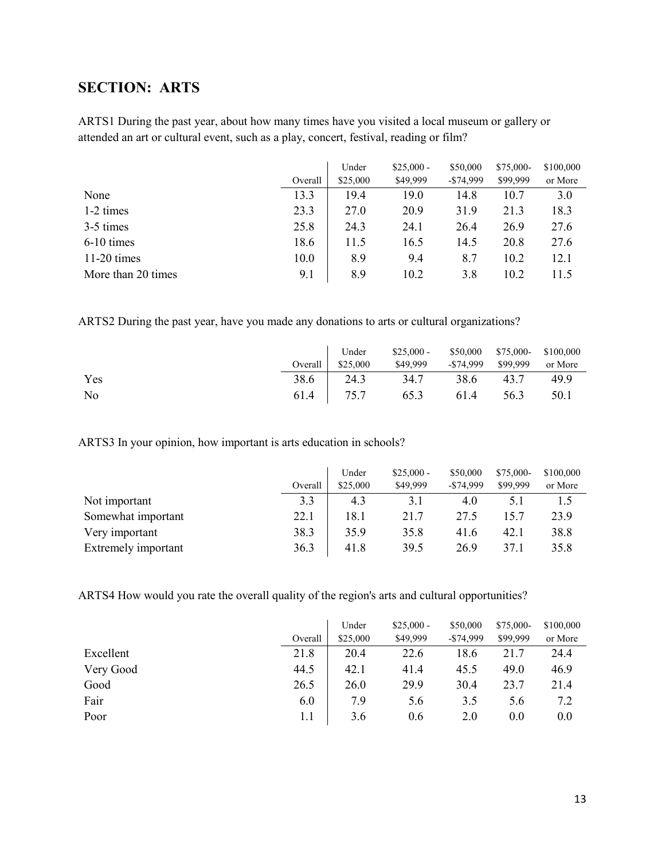# <span id="page-12-0"></span>**SECTION: ARTS**

ARTS1 During the past year, about how many times have you visited a local museum or gallery or attended an art or cultural event, such as a play, concert, festival, reading or film?

|                    | Overall | Under<br>\$25,000 | $$25,000 -$<br>\$49,999 | \$50,000<br>$-$74,999$ | \$75,000-<br>\$99,999 | \$100,000<br>or More |
|--------------------|---------|-------------------|-------------------------|------------------------|-----------------------|----------------------|
|                    |         |                   |                         |                        |                       |                      |
| None               | 13.3    | 19.4              | 19.0                    | 14.8                   | 10.7                  | 3.0                  |
| 1-2 times          | 23.3    | 27.0              | 20.9                    | 31.9                   | 21.3                  | 18.3                 |
| 3-5 times          | 25.8    | 24.3              | 24.1                    | 26.4                   | 26.9                  | 27.6                 |
| 6-10 times         | 18.6    | 11.5              | 16.5                    | 14.5                   | 20.8                  | 27.6                 |
| $11-20$ times      | 10.0    | 8.9               | 9.4                     | 8.7                    | 10.2                  | 12.1                 |
| More than 20 times | 9.1     | 8.9               | 10.2                    | 3.8                    | 10.2                  | 11.5                 |

ARTS2 During the past year, have you made any donations to arts or cultural organizations?

|     |                   | Under \$25,000 - \$50,000 \$75,000 \$100,000 |           |         |
|-----|-------------------|----------------------------------------------|-----------|---------|
|     | Overall $$25,000$ | \$49,999 - \$74,999 \$99,999                 |           | or More |
| Yes |                   | 38.6 24.3 34.7                               | 38.6 43.7 | 49.9    |
| No  |                   | 61.4 75.7 65.3 61.4 56.3                     |           | 50.1    |

ARTS3 In your opinion, how important is arts education in schools?

|                     |         | Under    | $$25,000 -$ | \$50,000     | $$75,000-$ | \$100,000 |
|---------------------|---------|----------|-------------|--------------|------------|-----------|
|                     | Overall | \$25,000 | \$49,999    | $-$ \$74,999 | \$99,999   | or More   |
| Not important       | 3.3     | 4.3      | 3.1         | 4.0          |            |           |
| Somewhat important  | 22.1    | 18.1     | 21.7        | 27.5         | l 5.7      | 23.9      |
| Very important      | 38.3    | 35.9     | 35.8        | 41.6         | 42.1       | 38.8      |
| Extremely important | 36.3    | 41.8     | 39.5        | 26.9         | 37.1       | 35.8      |

ARTS4 How would you rate the overall quality of the region's arts and cultural opportunities?

|           |         | Under    | $$25,000 -$ | \$50,000     | \$75,000- | \$100,000 |
|-----------|---------|----------|-------------|--------------|-----------|-----------|
|           | Overall | \$25,000 | \$49,999    | $-$ \$74,999 | \$99,999  | or More   |
| Excellent | 21.8    | 20.4     | 22.6        | 18.6         | 21.7      | 24.4      |
| Very Good | 44.5    | 42.1     | 41.4        | 45.5         | 49.0      | 46.9      |
| Good      | 26.5    | 26.0     | 29.9        | 30.4         | 23.7      | 21.4      |
| Fair      | 6.0     | 7.9      | 5.6         | 3.5          | 5.6       | 7.2       |
| Poor      | 1.1     | 3.6      | 0.6         | 2.0          | 0.0       | 0.0       |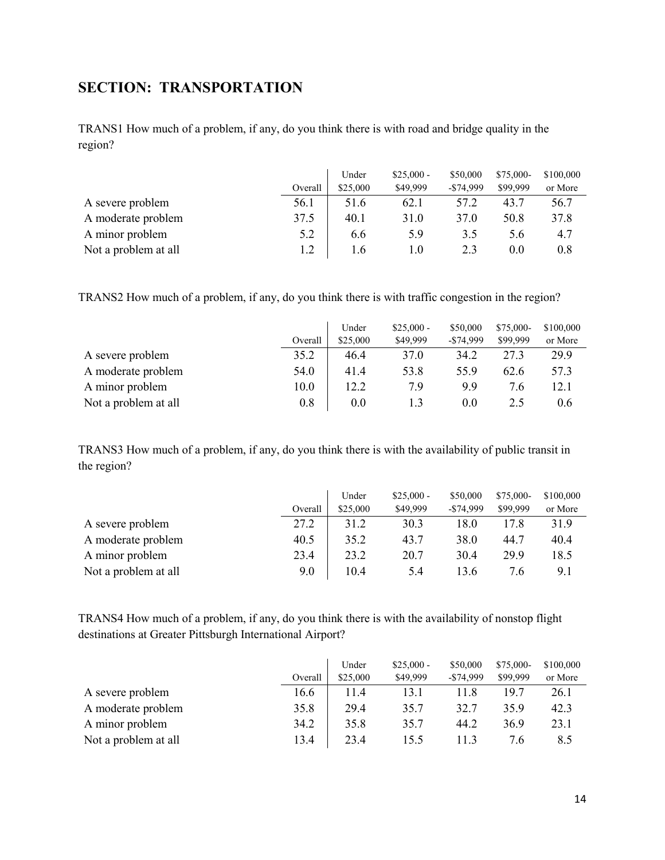# <span id="page-13-0"></span>**SECTION: TRANSPORTATION**

TRANS1 How much of a problem, if any, do you think there is with road and bridge quality in the region?

|                      |         | Under    | $$25,000 -$ | \$50,000     | \$75,000- | \$100,000 |
|----------------------|---------|----------|-------------|--------------|-----------|-----------|
|                      | Overall | \$25,000 | \$49,999    | $-$ \$74,999 | \$99,999  | or More   |
| A severe problem     | 56.1    | 51.6     | 62.1        | 57.2         | 43.7      | 56.7      |
| A moderate problem   | 37.5    | 40.1     | 31.0        | 37.0         | 50.8      | 37.8      |
| A minor problem      | 5.2     | 6.6      | 5.9         | 3.5          | 5.6       | 4.7       |
| Not a problem at all |         | 1.6      | 1.0         | 2.3          | 0.0       | 0.8       |

TRANS2 How much of a problem, if any, do you think there is with traffic congestion in the region?

|                      |         | Under    | $$25,000 -$ | \$50,000     | $$75,000-$ | \$100,000 |
|----------------------|---------|----------|-------------|--------------|------------|-----------|
|                      | Overall | \$25,000 | \$49,999    | $-$ \$74,999 | \$99,999   | or More   |
| A severe problem     | 35.2    | 46.4     | 37.0        | 34.2         | 27.3       | 29.9      |
| A moderate problem   | 54.0    | 41.4     | 53.8        | 55.9         | 62.6       | 57.3      |
| A minor problem      | 10.0    | 12.2     | 7.9         | 9.9          | 7.6        | 12.1      |
| Not a problem at all | 0.8     | 0.0      |             | 0.0          | 2.5        | 0.6       |

TRANS3 How much of a problem, if any, do you think there is with the availability of public transit in the region?

|                      |         | Under    | $$25,000-$ | \$50,000     | \$75,000- | \$100,000 |
|----------------------|---------|----------|------------|--------------|-----------|-----------|
|                      | Overall | \$25,000 | \$49,999   | $-$ \$74,999 | \$99,999  | or More   |
| A severe problem     | 27.2    | 31.2     | 30.3       | 18.0         | 17.8      | 31.9      |
| A moderate problem   | 40.5    | 35.2     | 43.7       | 38.0         | 44.7      | 40.4      |
| A minor problem      | 23.4    | 23.2     | 20.7       | 30.4         | 29.9      | 18.5      |
| Not a problem at all | 9.0     | 10.4     | 5.4        | 13.6         | 7.6       | 9.1       |

TRANS4 How much of a problem, if any, do you think there is with the availability of nonstop flight destinations at Greater Pittsburgh International Airport?

|                      |         | Under    | $$25,000 -$ | \$50,000     | $$75,000-$ | \$100,000 |
|----------------------|---------|----------|-------------|--------------|------------|-----------|
|                      | Overall | \$25,000 | \$49,999    | $-$ \$74,999 | \$99,999   | or More   |
| A severe problem     | 16.6    | 11.4     | 13.1        | 11.8         | 19.7       | 26.1      |
| A moderate problem   | 35.8    | 29.4     | 35.7        | 32.7         | 35.9       | 42.3      |
| A minor problem      | 34.2    | 35.8     | 35.7        | 44.2         | 36.9       | 23.1      |
| Not a problem at all | 13.4    | 23.4     | 15.5        | I I .3       | 7.6        | 8.5       |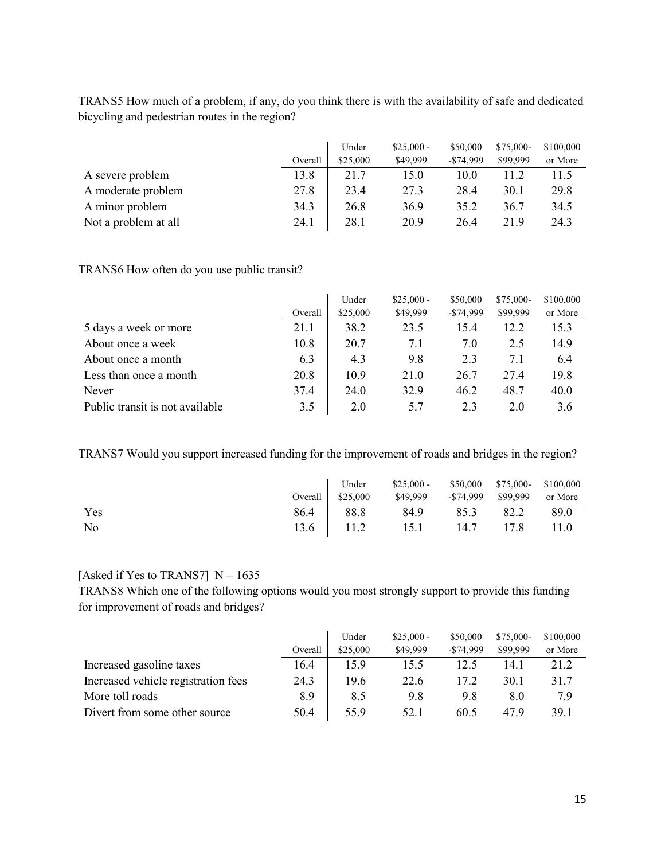TRANS5 How much of a problem, if any, do you think there is with the availability of safe and dedicated bicycling and pedestrian routes in the region?

|                      |         | Under    | $$25,000 -$ | \$50,000     | $$75,000-$ | \$100,000 |
|----------------------|---------|----------|-------------|--------------|------------|-----------|
|                      | Overall | \$25,000 | \$49,999    | $-$ \$74,999 | \$99,999   | or More   |
| A severe problem     | 13.8    | 21.7     | 15.0        | 10.0         | 11.2       | 11.5      |
| A moderate problem   | 27.8    | 23.4     | 27.3        | 28.4         | 30.1       | 29.8      |
| A minor problem      | 34.3    | 26.8     | 36.9        | 35.2         | 36.7       | 34.5      |
| Not a problem at all | 24.1    | 28.1     | 20.9        | 26.4         | 21.9       | 24.3      |

TRANS6 How often do you use public transit?

|                                 |         | Under    | $$25,000 -$ | \$50,000     | \$75,000- | \$100,000 |
|---------------------------------|---------|----------|-------------|--------------|-----------|-----------|
|                                 | Overall | \$25,000 | \$49,999    | $-$ \$74,999 | \$99,999  | or More   |
| 5 days a week or more           | 21.1    | 38.2     | 23.5        | 15.4         | 12.2      | 15.3      |
| About once a week               | 10.8    | 20.7     | 7.1         | 7.0          | 2.5       | 14.9      |
| About once a month              | 6.3     | 4.3      | 9.8         | 2.3          | 7.1       | 6.4       |
| Less than once a month          | 20.8    | 10.9     | 21.0        | 26.7         | 27.4      | 19.8      |
| Never                           | 37.4    | 24.0     | 32.9        | 46.2         | 48.7      | 40.0      |
| Public transit is not available | 3.5     | 2.0      | 5.7         | 2.3          | 2.0       | 3.6       |

TRANS7 Would you support increased funding for the improvement of roads and bridges in the region?

|     | Under             | $$25,000 - $50,000$ $$75,000 - $100,000$ |  |      |
|-----|-------------------|------------------------------------------|--|------|
|     | Overall $$25,000$ | \$49,999 - \$74,999 \$99,999 or More     |  |      |
| Yes | 86.4 88.8         | 84.9 85.3 82.2                           |  | 89.0 |
| No  |                   | 13.6 11.2 15.1 14.7 17.8                 |  | 11.0 |

### [Asked if Yes to TRANS7]  $N = 1635$

TRANS8 Which one of the following options would you most strongly support to provide this funding for improvement of roads and bridges?

|                                     |         | Under    | $$25,000 -$ | \$50,000     | $$75,000-$ | \$100,000 |
|-------------------------------------|---------|----------|-------------|--------------|------------|-----------|
|                                     | Overall | \$25,000 | \$49,999    | $-$ \$74,999 | \$99,999   | or More   |
| Increased gasoline taxes            | 16.4    | 15.9     | 15.5        | 12.5         | 14.1       | 21.2      |
| Increased vehicle registration fees | 24.3    | 19.6     | 22.6        | 17.2         | 30.1       | 31.7      |
| More toll roads                     | 8.9     | 8.5      | 9.8         | 9.8          | 8.0        | 7.9       |
| Divert from some other source       | 50.4    | 55.9     | 52.1        | 60.5         | 47.9       | 39.1      |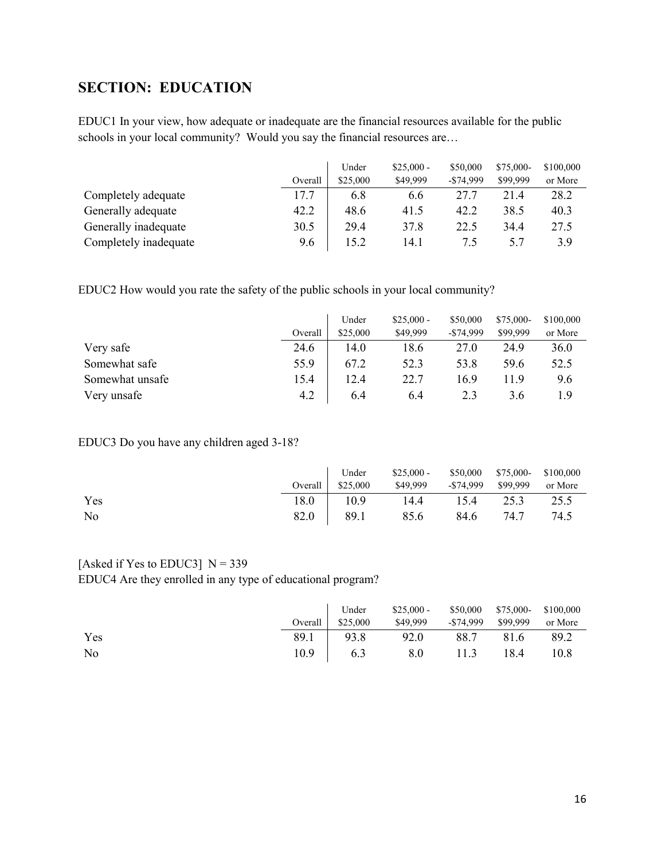# <span id="page-15-0"></span>**SECTION: EDUCATION**

EDUC1 In your view, how adequate or inadequate are the financial resources available for the public schools in your local community? Would you say the financial resources are…

|                       |         | Under    | $$25,000 -$ | \$50,000     | $$75,000-$ | \$100,000 |
|-----------------------|---------|----------|-------------|--------------|------------|-----------|
|                       | Overall | \$25,000 | \$49,999    | $-$ \$74,999 | \$99,999   | or More   |
| Completely adequate   | 17.7    | 6.8      | 6.6         | 27.7         | 21.4       | 28.2      |
| Generally adequate    | 42.2    | 48.6     | 41.5        | 42.2         | 38.5       | 40.3      |
| Generally inadequate  | 30.5    | 29.4     | 37.8        | 22.5         | 34.4       | 27.5      |
| Completely inadequate | 9.6     | 15.2     | 14.1        | 7.5          | 5.7        | 3.9       |

EDUC2 How would you rate the safety of the public schools in your local community?

|                 |         | Under    | $$25,000 -$ | \$50,000     | $$75,000-$ | \$100,000 |
|-----------------|---------|----------|-------------|--------------|------------|-----------|
|                 | Overall | \$25,000 | \$49,999    | $-$ \$74,999 | \$99,999   | or More   |
| Very safe       | 24.6    | 14.0     | 18.6        | 27.0         | 24.9       | 36.0      |
| Somewhat safe   | 55.9    | 67.2     | 52.3        | 53.8         | 59.6       | 52.5      |
| Somewhat unsafe | 15.4    | 12.4     | 22.7        | 16.9         | 11.9       | 9.6       |
| Very unsafe     | 4.2     | 6.4      | 6.4         | 2.3          | 3.6        | 1.9       |

EDUC3 Do you have any children aged 3-18?

|     | Under             | $$25,000 - $50,000$ $$75,000 - $100,000$ |  |      |
|-----|-------------------|------------------------------------------|--|------|
|     | Overall $$25,000$ | \$49,999 - \$74,999 \$99,999 or More     |  |      |
| Yes | 18.0 10.9         | 14.4 15.4 25.3                           |  | 25.5 |
| No  |                   | 82.0   89.1 85.6 84.6 74.7               |  | 74.5 |

### [Asked if Yes to EDUC3]  $N = 339$

EDUC4 Are they enrolled in any type of educational program?

|     | Under             | $$25,000 - $50,000$ $$75,000 - $100,000$ |  |         |
|-----|-------------------|------------------------------------------|--|---------|
|     | Overall $$25,000$ | \$49,999 -\$74,999 \$99,999              |  | or More |
| Yes |                   | 89.1   93.8 92.0 88.7 81.6               |  | 89.2    |
| No  |                   | 10.9   6.3 8.0 11.3 18.4 10.8            |  |         |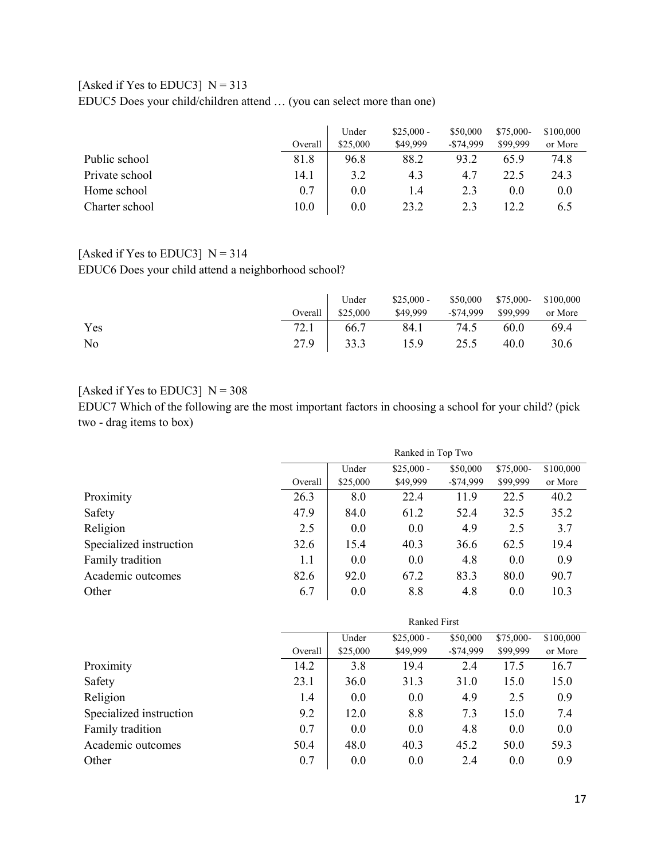## [Asked if Yes to EDUC3]  $N = 313$

EDUC5 Does your child/children attend … (you can select more than one)

|                |         | Under    | $$25,000 -$ | \$50,000     | \$75,000- | \$100,000 |
|----------------|---------|----------|-------------|--------------|-----------|-----------|
|                | Overall | \$25,000 | \$49,999    | $-$ \$74,999 | \$99,999  | or More   |
| Public school  | 81.8    | 96.8     | 88.2        | 93.2         | 65.9      | 74.8      |
| Private school | 14.1    | 3.2      | 4.3         | 4.7          | 22.5      | 24.3      |
| Home school    | 0.7     | 0.0      | 1.4         | 2.3          | 0.0       | 0.0       |
| Charter school | 10.0    | 0.0      | 23.2        | 2.3          | 12.2      | 6.5       |

## [Asked if Yes to EDUC3]  $N = 314$

EDUC6 Does your child attend a neighborhood school?

|     | Under<br>Overall \$25,000 | $$25,000 - $50,000$ $$75,000 - $100,000$<br>\$49,999 - \$74,999 \$99,999 or More |      |      |
|-----|---------------------------|----------------------------------------------------------------------------------|------|------|
| Yes |                           | 72.1 66.7 84.1 74.5 60.0                                                         |      | 69.4 |
| No  |                           | 27.9 33.3 15.9 25.5                                                              | 40.0 | 30.6 |

### [Asked if Yes to EDUC3]  $N = 308$

EDUC7 Which of the following are the most important factors in choosing a school for your child? (pick two - drag items to box)

|                         | Ranked in Top Two |          |             |              |           |           |  |
|-------------------------|-------------------|----------|-------------|--------------|-----------|-----------|--|
|                         |                   | Under    | $$25,000 -$ | \$50,000     | \$75,000- | \$100,000 |  |
|                         | Overall           | \$25,000 | \$49,999    | $-$ \$74,999 | \$99,999  | or More   |  |
| Proximity               | 26.3              | 8.0      | 22.4        | 11.9         | 22.5      | 40.2      |  |
| Safety                  | 47.9              | 84.0     | 61.2        | 52.4         | 32.5      | 35.2      |  |
| Religion                | 2.5               | 0.0      | 0.0         | 4.9          | 2.5       | 3.7       |  |
| Specialized instruction | 32.6              | 15.4     | 40.3        | 36.6         | 62.5      | 19.4      |  |
| Family tradition        | 1.1               | 0.0      | 0.0         | 4.8          | 0.0       | 0.9       |  |
| Academic outcomes       | 82.6              | 92.0     | 67.2        | 83.3         | 80.0      | 90.7      |  |
| Other                   | 6.7               | 0.0      | 8.8         | 4.8          | 0.0       | 10.3      |  |

|                         | <b>Ranked First</b> |          |             |            |           |           |  |  |
|-------------------------|---------------------|----------|-------------|------------|-----------|-----------|--|--|
|                         |                     | Under    | $$25,000 -$ | \$50,000   | \$75,000- | \$100,000 |  |  |
|                         | Overall             | \$25,000 | \$49,999    | $-$74,999$ | \$99,999  | or More   |  |  |
| Proximity               | 14.2                | 3.8      | 19.4        | 2.4        | 17.5      | 16.7      |  |  |
| Safety                  | 23.1                | 36.0     | 31.3        | 31.0       | 15.0      | 15.0      |  |  |
| Religion                | 1.4                 | 0.0      | 0.0         | 4.9        | 2.5       | 0.9       |  |  |
| Specialized instruction | 9.2                 | 12.0     | 8.8         | 7.3        | 15.0      | 7.4       |  |  |
| Family tradition        | 0.7                 | 0.0      | 0.0         | 4.8        | 0.0       | 0.0       |  |  |
| Academic outcomes       | 50.4                | 48.0     | 40.3        | 45.2       | 50.0      | 59.3      |  |  |
| Other                   | 0.7                 | 0.0      | 0.0         | 2.4        | 0.0       | 0.9       |  |  |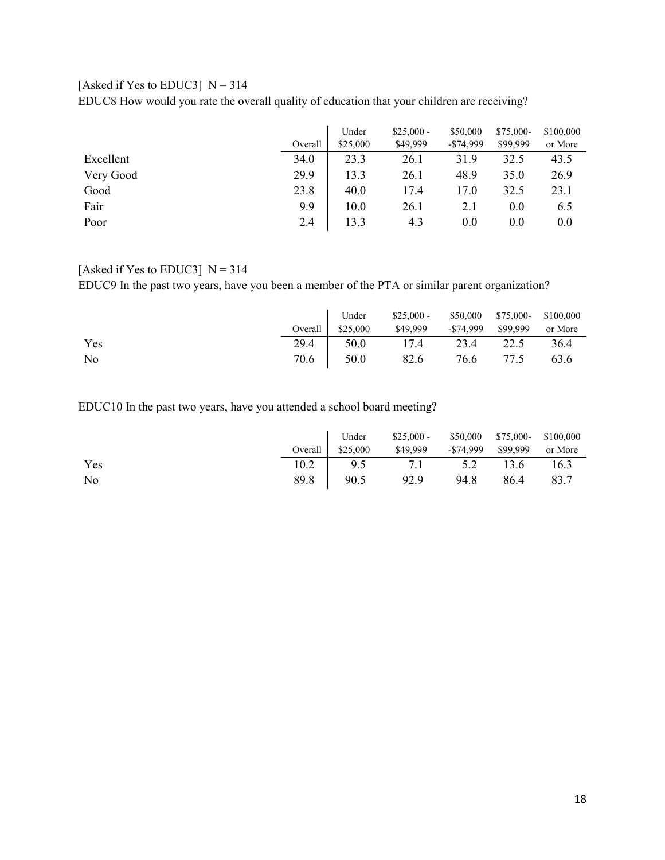### [Asked if Yes to EDUC3]  $N = 314$

EDUC8 How would you rate the overall quality of education that your children are receiving?

|           |         | Under    | $$25,000 -$ | \$50,000     | \$75,000- | \$100,000 |
|-----------|---------|----------|-------------|--------------|-----------|-----------|
|           | Overall | \$25,000 | \$49,999    | $-$ \$74,999 | \$99,999  | or More   |
| Excellent | 34.0    | 23.3     | 26.1        | 31.9         | 32.5      | 43.5      |
| Very Good | 29.9    | 13.3     | 26.1        | 48.9         | 35.0      | 26.9      |
| Good      | 23.8    | 40.0     | 17.4        | 17.0         | 32.5      | 23.1      |
| Fair      | 9.9     | 10.0     | 26.1        | 2.1          | 0.0       | 6.5       |
| Poor      | 2.4     | 13.3     | 4.3         | $0.0\,$      | 0.0       | 0.0       |

### [Asked if Yes to EDUC3]  $N = 314$

EDUC9 In the past two years, have you been a member of the PTA or similar parent organization?

|     | Under             | $$25,000 - $50,000$ $$75,000 - $100,000$ |  |  |
|-----|-------------------|------------------------------------------|--|--|
|     | Overall $$25,000$ | \$49,999 - \$74,999 \$99,999 or More     |  |  |
| Yes |                   | 29.4   50.0 17.4 23.4 22.5 36.4          |  |  |
| No  |                   | 70.6   50.0 82.6 76.6 77.5 63.6          |  |  |

EDUC10 In the past two years, have you attended a school board meeting?

|     | Overall $$25,000$ | Under \$25,000 - \$50,000 \$75,000 \$100,000<br>\$49,999 - \$74,999 \$99,999 |                | or More |
|-----|-------------------|------------------------------------------------------------------------------|----------------|---------|
| Yes |                   | $10.2$   $9.5$ $7.1$ $5.2$ $13.6$ $16.3$                                     |                |         |
| No  |                   | 89.8 90.5 92.9                                                               | 94.8 86.4 83.7 |         |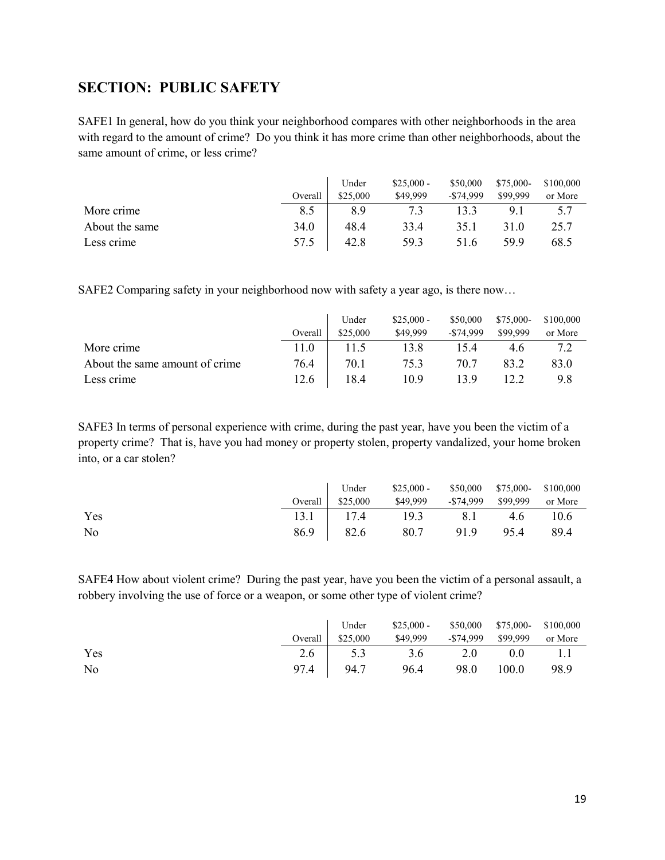## <span id="page-18-0"></span>**SECTION: PUBLIC SAFETY**

SAFE1 In general, how do you think your neighborhood compares with other neighborhoods in the area with regard to the amount of crime? Do you think it has more crime than other neighborhoods, about the same amount of crime, or less crime?

|                |         | Under    | $$25,000 -$ | \$50,000     | \$75,000- | \$100,000 |
|----------------|---------|----------|-------------|--------------|-----------|-----------|
|                | Overall | \$25,000 | \$49,999    | $-$ \$74,999 | \$99,999  | or More   |
| More crime     | 8.5     | 8.9      | 7.3         | 13.3         | 9.1       | 5.7       |
| About the same | 34.0    | 48.4     | 33.4        | 35.1         | 31.0      | 25.7      |
| Less crime     | 57.5    | 42.8     | 59.3        | 51.6         | 59.9      | 68.5      |

SAFE2 Comparing safety in your neighborhood now with safety a year ago, is there now…

|                                |         | Under    | $$25,000 -$ | \$50,000     | $$75,000-$ | \$100,000 |
|--------------------------------|---------|----------|-------------|--------------|------------|-----------|
|                                | Overall | \$25,000 | \$49,999    | $-$ \$74.999 | \$99,999   | or More   |
| More crime                     | 11.0    | 11.5     | 13.8        | 15.4         | 4.6        | 7.2       |
| About the same amount of crime | 76.4    | 70.1     | 75.3        | 70.7         | 83.2       | 83.0      |
| Less crime                     | 12.6    | 18.4     | 10.9        | 13.9         |            | 9.8       |

SAFE3 In terms of personal experience with crime, during the past year, have you been the victim of a property crime? That is, have you had money or property stolen, property vandalized, your home broken into, or a car stolen?

|                |                   | Under $$25,000 - $50,000$ $$75,000 - $100,000$ |     |      |
|----------------|-------------------|------------------------------------------------|-----|------|
|                | Overall $$25,000$ | \$49,999 - \$74,999 \$99,999 or More           |     |      |
| Yes            |                   | $13.1$   17.4 19.3 8.1                         | 4.6 | 10.6 |
| N <sub>0</sub> | 86.9 82.6         | 80.7 91.9 95.4                                 |     | 89.4 |

SAFE4 How about violent crime? During the past year, have you been the victim of a personal assault, a robbery involving the use of force or a weapon, or some other type of violent crime?

|     | Under             | $$25,000 - $50,000$ $$75,000 - $100,000$ |      |       |         |
|-----|-------------------|------------------------------------------|------|-------|---------|
|     | Overall $$25,000$ | \$49,999 - \$74,999 \$99,999             |      |       | or More |
| Yes | 2.6 $\vert$ 5.3   | 3.6                                      | 2.0  | 0.0   | 1.1     |
| No  | 97.4 94.7         | 96.4                                     | 98.0 | 100.0 | 98.9    |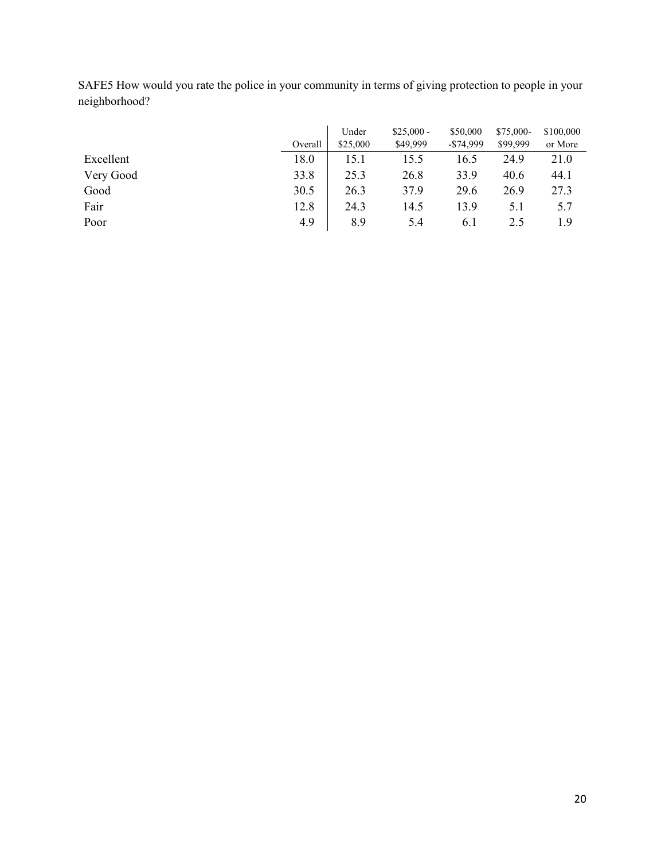| SAFE5 How would you rate the police in your community in terms of giving protection to people in your |  |
|-------------------------------------------------------------------------------------------------------|--|
| neighborhood?                                                                                         |  |

|           |         | Under    | $$25,000 -$ | \$50,000     | \$75,000- | \$100,000 |
|-----------|---------|----------|-------------|--------------|-----------|-----------|
|           | Overall | \$25,000 | \$49,999    | $-$ \$74,999 | \$99,999  | or More   |
| Excellent | 18.0    | 15.1     | 15.5        | 16.5         | 24.9      | 21.0      |
| Very Good | 33.8    | 25.3     | 26.8        | 33.9         | 40.6      | 44.1      |
| Good      | 30.5    | 26.3     | 37.9        | 29.6         | 26.9      | 27.3      |
| Fair      | 12.8    | 24.3     | 14.5        | 13.9         | 5.1       | 5.7       |
| Poor      | 4.9     | 8.9      | 5.4         | 6.1          | 2.5       | 1.9       |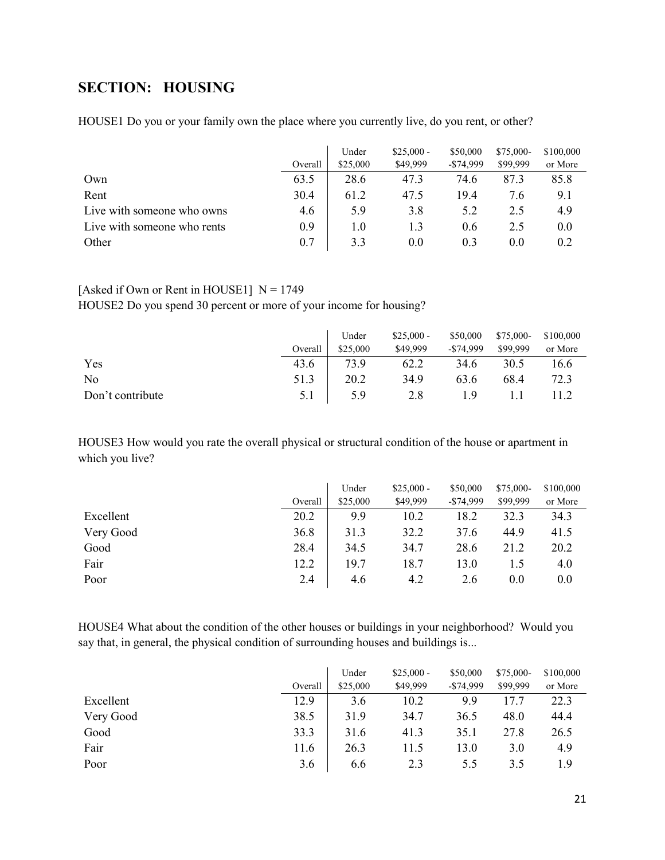# <span id="page-20-0"></span>**SECTION: HOUSING**

HOUSE1 Do you or your family own the place where you currently live, do you rent, or other?

|                             | Overall | Under<br>\$25,000 | $$25,000 -$<br>\$49,999 | \$50,000<br>$-$ \$74,999 | $$75,000-$<br>\$99,999 | \$100,000<br>or More |
|-----------------------------|---------|-------------------|-------------------------|--------------------------|------------------------|----------------------|
| Own                         | 63.5    | 28.6              | 47.3                    | 74.6                     | 87.3                   | 85.8                 |
| Rent                        | 30.4    | 61.2              | 47.5                    | 19.4                     | 7.6                    | 9.1                  |
| Live with someone who owns  | 4.6     | 5.9               | 3.8                     | 5.2                      | 2.5                    | 4.9                  |
| Live with someone who rents | 0.9     | 1.0               | 1.3                     | 0.6                      | 2.5                    | 0.0                  |
| Other                       | 0.7     | 3.3               | 0.0                     | 0.3                      | 0.0                    | 0.2                  |

#### [Asked if Own or Rent in HOUSE1]  $N = 1749$

HOUSE2 Do you spend 30 percent or more of your income for housing?

|                  |         | Under    | $$25,000 -$ | \$50,000     | \$75,000- | \$100,000 |
|------------------|---------|----------|-------------|--------------|-----------|-----------|
|                  | Overall | \$25,000 | \$49,999    | $-$ \$74,999 | \$99,999  | or More   |
| Yes              | 43.6    | 73.9     | 62.2        | 34.6         | 30.5      | 16.6      |
| No               | 51.3    | 20.2     | 34.9        | 63.6         | 68.4      | 72.3      |
| Don't contribute | 5.1     | 5.9      | 2.8         | 1.9          |           |           |

HOUSE3 How would you rate the overall physical or structural condition of the house or apartment in which you live?

|           |         | Under    | $$25,000 -$ | \$50,000     | \$75,000- | \$100,000 |
|-----------|---------|----------|-------------|--------------|-----------|-----------|
|           | Overall | \$25,000 | \$49,999    | $-$ \$74,999 | \$99,999  | or More   |
| Excellent | 20.2    | 9.9      | 10.2        | 18.2         | 32.3      | 34.3      |
| Very Good | 36.8    | 31.3     | 32.2        | 37.6         | 44.9      | 41.5      |
| Good      | 28.4    | 34.5     | 34.7        | 28.6         | 21.2      | 20.2      |
| Fair      | 12.2    | 19.7     | 18.7        | 13.0         | 1.5       | 4.0       |
| Poor      | 2.4     | 4.6      | 4.2         | 2.6          | 0.0       | 0.0       |

HOUSE4 What about the condition of the other houses or buildings in your neighborhood? Would you say that, in general, the physical condition of surrounding houses and buildings is...

|           | Overall | Under<br>\$25,000 | $$25,000 -$<br>\$49,999 | \$50,000<br>$-$ \$74,999 | \$75,000-<br>\$99,999 | \$100,000<br>or More |
|-----------|---------|-------------------|-------------------------|--------------------------|-----------------------|----------------------|
| Excellent | 12.9    | 3.6               | 10.2                    | 9.9                      | 17.7                  | 22.3                 |
| Very Good | 38.5    | 31.9              | 34.7                    | 36.5                     | 48.0                  | 44.4                 |
| Good      | 33.3    | 31.6              | 41.3                    | 35.1                     | 27.8                  | 26.5                 |
| Fair      | 11.6    | 26.3              | 11.5                    | 13.0                     | 3.0                   | 4.9                  |
| Poor      | 3.6     | 6.6               | 2.3                     | 5.5                      | 3.5                   | 1.9                  |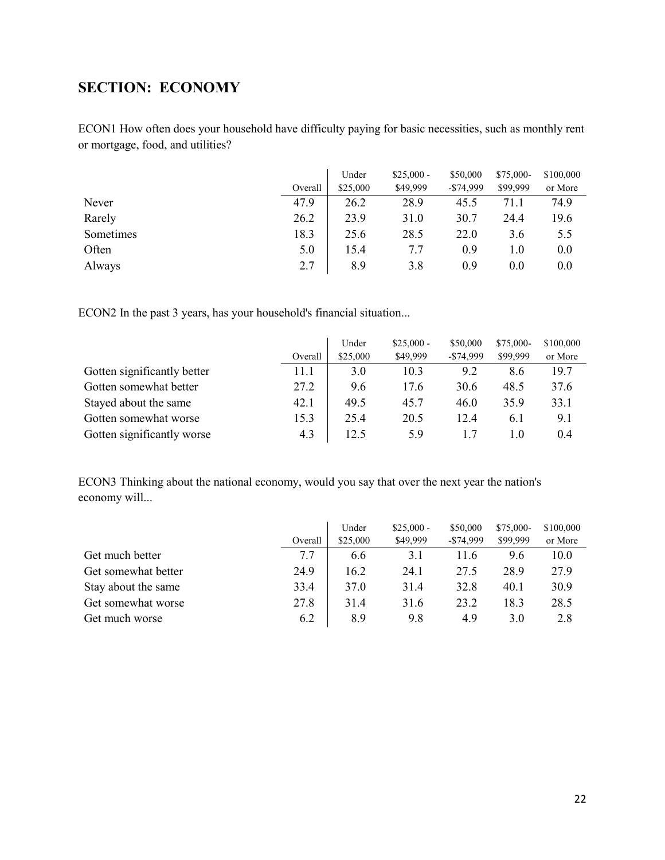# <span id="page-21-0"></span>**SECTION: ECONOMY**

ECON1 How often does your household have difficulty paying for basic necessities, such as monthly rent or mortgage, food, and utilities?

|           | Overall | Under<br>\$25,000 | $$25,000 -$<br>\$49,999 | \$50,000<br>$-$74,999$ | \$75,000-<br>\$99,999 | \$100,000<br>or More |
|-----------|---------|-------------------|-------------------------|------------------------|-----------------------|----------------------|
|           |         |                   |                         |                        |                       |                      |
| Never     | 47.9    | 26.2              | 28.9                    | 45.5                   | 71.1                  | 74.9                 |
| Rarely    | 26.2    | 23.9              | 31.0                    | 30.7                   | 24.4                  | 19.6                 |
| Sometimes | 18.3    | 25.6              | 28.5                    | 22.0                   | 3.6                   | 5.5                  |
| Often     | 5.0     | 15.4              | 7.7                     | 0.9                    | 1.0                   | 0.0                  |
| Always    | 2.7     | 8.9               | 3.8                     | 0.9                    | 0.0                   | 0.0                  |

ECON2 In the past 3 years, has your household's financial situation...

|                             |         | Under    | $$25,000 -$ | \$50,000     | \$75,000- | \$100,000 |
|-----------------------------|---------|----------|-------------|--------------|-----------|-----------|
|                             | Overall | \$25,000 | \$49,999    | $-$ \$74,999 | \$99,999  | or More   |
| Gotten significantly better | 11.1    | 3.0      | 10.3        | 9.2          | 8.6       | 19.7      |
| Gotten somewhat better      | 27.2    | 9.6      | 17.6        | 30.6         | 48.5      | 37.6      |
| Stayed about the same       | 42.1    | 49.5     | 45.7        | 46.0         | 35.9      | 33.1      |
| Gotten somewhat worse       | 15.3    | 25.4     | 20.5        | 12.4         | 6.1       | 9.1       |
| Gotten significantly worse  | 4.3     | 12.5     | 5.9         |              | 1.0       | 0.4       |

ECON3 Thinking about the national economy, would you say that over the next year the nation's economy will...

|                     |         | Under    | $$25,000 -$ | \$50,000     | \$75,000- | \$100,000 |
|---------------------|---------|----------|-------------|--------------|-----------|-----------|
|                     | Overall | \$25,000 | \$49,999    | $-$ \$74,999 | \$99,999  | or More   |
| Get much better     | 7.7     | 6.6      | 3.1         | 11.6         | 9.6       | 10.0      |
| Get somewhat better | 24.9    | 16.2     | 24.1        | 27.5         | 28.9      | 27.9      |
| Stay about the same | 33.4    | 37.0     | 31.4        | 32.8         | 40.1      | 30.9      |
| Get somewhat worse  | 27.8    | 31.4     | 31.6        | 23.2         | 18.3      | 28.5      |
| Get much worse      | 6.2     | 8.9      | 9.8         | 4.9          | 3.0       | 2.8       |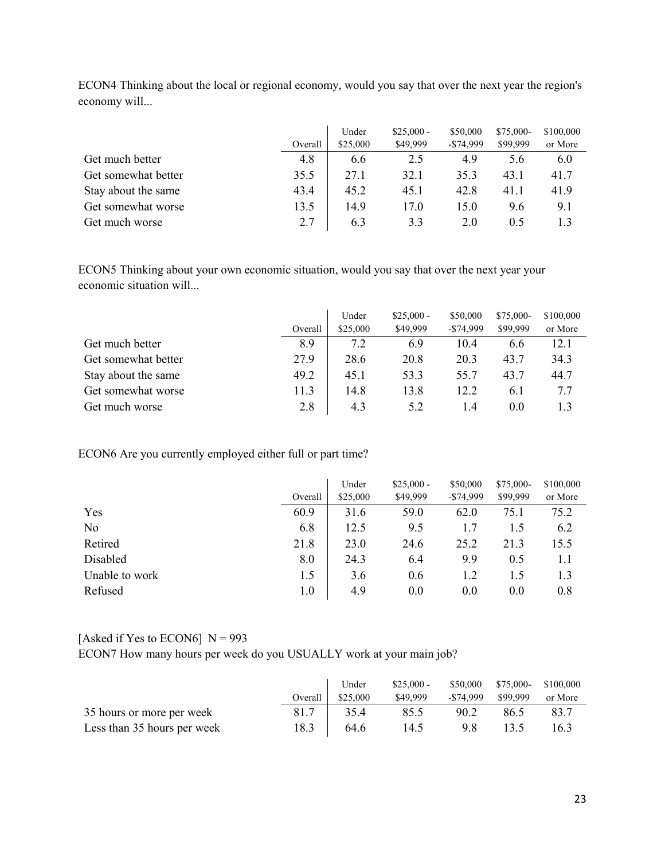|                     |         | Under    | $$25,000 -$ | \$50,000     | \$75,000- | \$100,000 |
|---------------------|---------|----------|-------------|--------------|-----------|-----------|
|                     | Overall | \$25,000 | \$49,999    | $-$ \$74,999 | \$99,999  | or More   |
| Get much better     | 4.8     | 6.6      | 2.5         | 4.9          | 5.6       | 6.0       |
| Get somewhat better | 35.5    | 27.1     | 32.1        | 35.3         | 43.1      | 41.7      |
| Stay about the same | 43.4    | 45.2     | 45.1        | 42.8         | 41.1      | 41.9      |
| Get somewhat worse  | 13.5    | 14.9     | 17.0        | 15.0         | 9.6       | 9.1       |
| Get much worse      | 2.7     | 6.3      | 3.3         | 2.0          | 0.5       |           |

ECON4 Thinking about the local or regional economy, would you say that over the next year the region's economy will...

ECON5 Thinking about your own economic situation, would you say that over the next year your economic situation will...

|                     |         | Under    | $$25,000 -$ | \$50,000     | \$75,000- | \$100,000 |
|---------------------|---------|----------|-------------|--------------|-----------|-----------|
|                     | Overall | \$25,000 | \$49,999    | $-$ \$74,999 | \$99,999  | or More   |
| Get much better     | 8.9     | 7.2      | 6.9         | 10.4         | 6.6       | 12.1      |
| Get somewhat better | 27.9    | 28.6     | 20.8        | 20.3         | 43.7      | 34.3      |
| Stay about the same | 49.2    | 45.1     | 53.3        | 55.7         | 43.7      | 44.7      |
| Get somewhat worse  | 11.3    | 14.8     | 13.8        | 12.2         | 6.1       | 7.7       |
| Get much worse      | 2.8     | 4.3      | 5.2         | 1.4          | 0.0       | 1.3       |

ECON6 Are you currently employed either full or part time?

|                |         | Under    | $$25,000 -$ | \$50,000     | \$75,000- | \$100,000 |
|----------------|---------|----------|-------------|--------------|-----------|-----------|
|                | Overall | \$25,000 | \$49,999    | $-$ \$74,999 | \$99,999  | or More   |
| Yes            | 60.9    | 31.6     | 59.0        | 62.0         | 75.1      | 75.2      |
| No             | 6.8     | 12.5     | 9.5         | 1.7          | 1.5       | 6.2       |
| Retired        | 21.8    | 23.0     | 24.6        | 25.2         | 21.3      | 15.5      |
| Disabled       | 8.0     | 24.3     | 6.4         | 9.9          | 0.5       | 1.1       |
| Unable to work | 1.5     | 3.6      | 0.6         | 1.2          | 1.5       | 1.3       |
| Refused        | 1.0     | 4.9      | 0.0         | 0.0          | 0.0       | 0.8       |

[Asked if Yes to ECON6]  $N = 993$ 

ECON7 How many hours per week do you USUALLY work at your main job?

|                             |         | Under    | $$25,000-$ |           | \$50,000 \$75,000- \$100,000 |         |
|-----------------------------|---------|----------|------------|-----------|------------------------------|---------|
|                             | Overall | \$25,000 | \$49,999   | -\$74.999 | \$99,999                     | or More |
| 35 hours or more per week   | 81.7    | 35.4     | 85.5       | 90.2      | 86.5                         | 83.7    |
| Less than 35 hours per week | 18.3    | 64.6     | 14.5       | 9.8       | 13.5                         | 16.3    |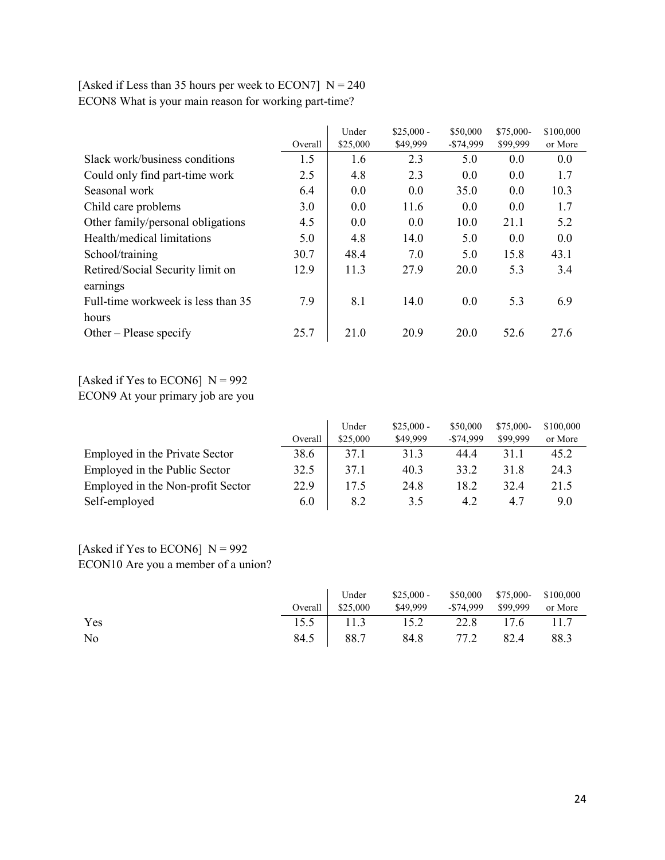|                                    |         | Under    | $$25,000 -$ | \$50,000    | \$75,000- | \$100,000 |
|------------------------------------|---------|----------|-------------|-------------|-----------|-----------|
|                                    | Overall | \$25,000 | \$49,999    | $-$74,999$  | \$99,999  | or More   |
| Slack work/business conditions     | 1.5     | 1.6      | 2.3         | 5.0         | 0.0       | 0.0       |
| Could only find part-time work     | 2.5     | 4.8      | 2.3         | 0.0         | 0.0       | 1.7       |
| Seasonal work                      | 6.4     | 0.0      | 0.0         | 35.0        | 0.0       | 10.3      |
| Child care problems                | 3.0     | 0.0      | 11.6        | 0.0         | 0.0       | 1.7       |
| Other family/personal obligations  | 4.5     | 0.0      | 0.0         | 10.0        | 21.1      | 5.2       |
| Health/medical limitations         | 5.0     | 4.8      | 14.0        | 5.0         | 0.0       | 0.0       |
| School/training                    | 30.7    | 48.4     | 7.0         | 5.0         | 15.8      | 43.1      |
| Retired/Social Security limit on   | 12.9    | 11.3     | 27.9        | 20.0        | 5.3       | 3.4       |
| earnings                           |         |          |             |             |           |           |
| Full-time workweek is less than 35 | 7.9     | 8.1      | 14.0        | 0.0         | 5.3       | 6.9       |
| hours                              |         |          |             |             |           |           |
| Other – Please specify             | 25.7    | 21.0     | 20.9        | <b>20.0</b> | 52.6      | 27.6      |

## [Asked if Less than 35 hours per week to ECON7]  $N = 240$ ECON8 What is your main reason for working part-time?

[Asked if Yes to ECON6]  $N = 992$ 

ECON9 At your primary job are you

|                                   |         | Under    | $$25,000 -$ | \$50,000   | $$75,000-$ | \$100,000 |
|-----------------------------------|---------|----------|-------------|------------|------------|-----------|
|                                   | Overall | \$25,000 | \$49,999    | $-$74.999$ | \$99,999   | or More   |
| Employed in the Private Sector    | 38.6    | 37.1     | 31.3        | 44.4       | 31.1       | 45.2      |
| Employed in the Public Sector     | 32.5    | 37.1     | 40.3        | 33.2       | 31.8       | 24.3      |
| Employed in the Non-profit Sector | 22.9    | 17.5     | 24.8        | 18.2       | 32.4       | 21.5      |
| Self-employed                     | 6.0     | 8.2      | 3.5         | 4.2        | 4.7        | 9.0       |

## [Asked if Yes to ECON6]  $N = 992$ ECON10 Are you a member of a union?

|     | Under            | $$25,000 - $50,000$ $$75,000 - $100,000$ |  |  |
|-----|------------------|------------------------------------------|--|--|
|     | Overall \$25,000 | \$49,999 - \$74,999 \$99,999 or More     |  |  |
| Yes |                  | 15.5   11.3 15.2 22.8 17.6 11.7          |  |  |
| No  |                  | 84.5 88.7 84.8 77.2 82.4 88.3            |  |  |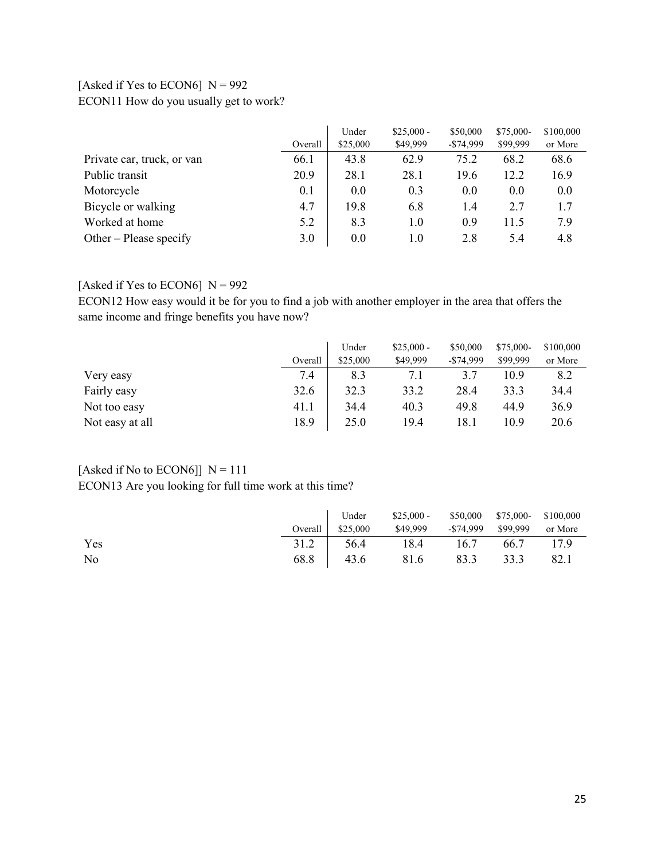### [Asked if Yes to ECON6]  $N = 992$ ECON11 How do you usually get to work?

|                            |         | Under    | $$25,000 -$ | \$50,000     | \$75,000- | \$100,000 |
|----------------------------|---------|----------|-------------|--------------|-----------|-----------|
|                            | Overall | \$25,000 | \$49,999    | $-$ \$74,999 | \$99,999  | or More   |
| Private car, truck, or van | 66.1    | 43.8     | 62.9        | 75.2         | 68.2      | 68.6      |
| Public transit             | 20.9    | 28.1     | 28.1        | 19.6         | 12.2      | 16.9      |
| Motorcycle                 | 0.1     | 0.0      | 0.3         | 0.0          | 0.0       | 0.0       |
| Bicycle or walking         | 4.7     | 19.8     | 6.8         | 1.4          | 2.7       | 1.7       |
| Worked at home             | 5.2     | 8.3      | 1.0         | 0.9          | 11.5      | 7.9       |
| Other – Please specify     | 3.0     | 0.0      | 1.0         | 2.8          | 5.4       | 4.8       |

### [Asked if Yes to ECON6]  $N = 992$

ECON12 How easy would it be for you to find a job with another employer in the area that offers the same income and fringe benefits you have now?

|                 |         | Under    | $$25,000 -$ | \$50,000     | \$75,000- | \$100,000 |
|-----------------|---------|----------|-------------|--------------|-----------|-----------|
|                 | Overall | \$25,000 | \$49,999    | $-$ \$74,999 | \$99,999  | or More   |
| Very easy       | 7.4     | 8.3      | 7.1         | 3.7          | 10.9      | 8.2       |
| Fairly easy     | 32.6    | 32.3     | 33.2        | 28.4         | 33.3      | 34.4      |
| Not too easy    | 41.1    | 34.4     | 40.3        | 49.8         | 44.9      | 36.9      |
| Not easy at all | 18.9    | 25.0     | 19.4        | 18.1         | 10.9      | 20.6      |

### [Asked if No to ECON6]]  $N = 111$

ECON13 Are you looking for full time work at this time?

|     |                   | Under \$25,000 - \$50,000 \$75,000 \$100,000 |  |  |
|-----|-------------------|----------------------------------------------|--|--|
|     | Overall $$25,000$ | \$49,999 - \$74,999 \$99,999 or More         |  |  |
| Yes |                   | 31.2 56.4 18.4 16.7 66.7 17.9                |  |  |
| No  |                   | 68.8   43.6 81.6 83.3 33.3 82.1              |  |  |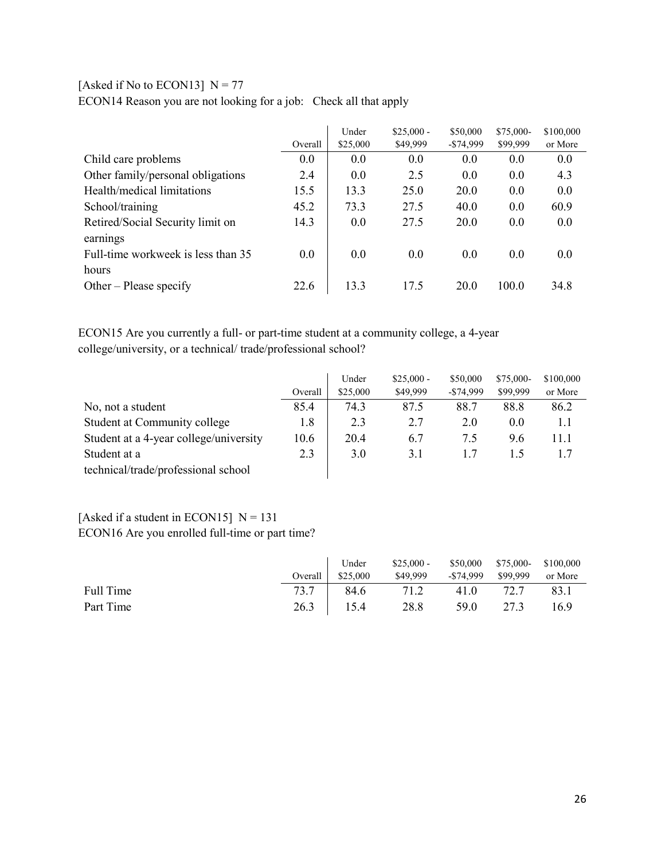## [Asked if No to ECON13]  $N = 77$

ECON14 Reason you are not looking for a job: Check all that apply

|                                    |         | Under    | $$25,000 -$ | \$50,000     | \$75,000- | \$100,000 |
|------------------------------------|---------|----------|-------------|--------------|-----------|-----------|
|                                    | Overall | \$25,000 | \$49,999    | $-$ \$74,999 | \$99,999  | or More   |
| Child care problems                | 0.0     | 0.0      | 0.0         | 0.0          | 0.0       | 0.0       |
| Other family/personal obligations  | 2.4     | 0.0      | 2.5         | 0.0          | 0.0       | 4.3       |
| Health/medical limitations         | 15.5    | 13.3     | 25.0        | 20.0         | 0.0       | 0.0       |
| School/training                    | 45.2    | 73.3     | 27.5        | 40.0         | 0.0       | 60.9      |
| Retired/Social Security limit on   | 14.3    | 0.0      | 27.5        | 20.0         | 0.0       | 0.0       |
| earnings                           |         |          |             |              |           |           |
| Full-time workweek is less than 35 | 0.0     | 0.0      | 0.0         | 0.0          | 0.0       | 0.0       |
| hours                              |         |          |             |              |           |           |
| Other – Please specify             | 22.6    | 13.3     | 17.5        | <b>20.0</b>  | 100.0     | 34.8      |

ECON15 Are you currently a full- or part-time student at a community college, a 4-year college/university, or a technical/ trade/professional school?

|                                        |         | Under    | $$25,000 -$ | \$50,000     | \$75,000- | \$100,000 |
|----------------------------------------|---------|----------|-------------|--------------|-----------|-----------|
|                                        | Overall | \$25,000 | \$49,999    | $-$ \$74,999 | \$99,999  | or More   |
| No, not a student                      | 85.4    | 74.3     | 87.5        | 88.7         | 88.8      | 86.2      |
| Student at Community college           | 1.8     | 2.3      | 2.7         | 2.0          | 0.0       | 1.1       |
| Student at a 4-year college/university | 10.6    | 20.4     | 6.7         | 7.5          | 9.6       | 11.1      |
| Student at a                           | 2.3     | 3.0      | 3.1         |              | 1.5       |           |
| technical/trade/professional school    |         |          |             |              |           |           |

## [Asked if a student in ECON15]  $N = 131$ ECON16 Are you enrolled full-time or part time?

|           | Under                    | $$25,000 -$ | $$50,000$ $$75,000$ - $$100,000$ |           |         |
|-----------|--------------------------|-------------|----------------------------------|-----------|---------|
|           | Overall $\vert$ \$25,000 | \$49,999    | -\$74,999 \$99,999               |           | or More |
| Full Time | 73.7 84.6 71.2           |             |                                  | 41.0 72.7 | 83.1    |
| Part Time | $26.3$ 15.4              | $-4$ 28.8   | 59.0                             | 27.3      | 16.9    |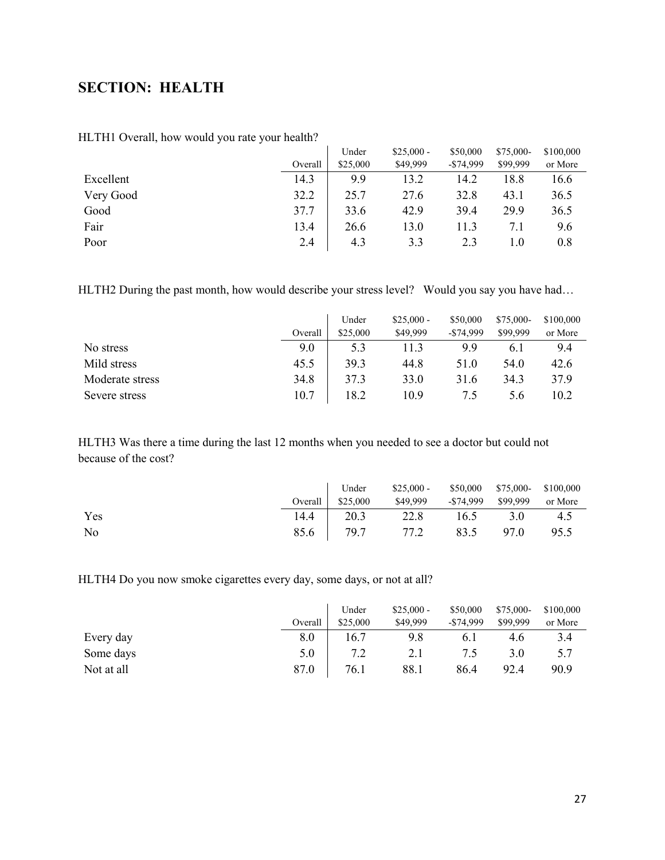# <span id="page-26-0"></span>**SECTION: HEALTH**

|           |         | Under    | $$25,000 -$ | \$50,000   | \$75,000- | \$100,000 |
|-----------|---------|----------|-------------|------------|-----------|-----------|
|           | Overall | \$25,000 | \$49,999    | $-$74,999$ | \$99,999  | or More   |
| Excellent | 14.3    | 9.9      | 13.2        | 14.2       | 18.8      | 16.6      |
| Very Good | 32.2    | 25.7     | 27.6        | 32.8       | 43.1      | 36.5      |
| Good      | 37.7    | 33.6     | 42.9        | 39.4       | 29.9      | 36.5      |
| Fair      | 13.4    | 26.6     | 13.0        | 11.3       | 7.1       | 9.6       |
| Poor      | 2.4     | 4.3      | 3.3         | 2.3        | 1.0       | 0.8       |

HLTH1 Overall, how would you rate your health?

HLTH2 During the past month, how would describe your stress level? Would you say you have had...

|                 |         | Under    | $$25,000 -$ | \$50,000     | \$75,000- | \$100,000 |
|-----------------|---------|----------|-------------|--------------|-----------|-----------|
|                 | Overall | \$25,000 | \$49,999    | $-$ \$74,999 | \$99,999  | or More   |
| No stress       | 9.0     | 5.3      | 11.3        | 9.9          | 6.1       | 9.4       |
| Mild stress     | 45.5    | 39.3     | 44.8        | 51.0         | 54.0      | 42.6      |
| Moderate stress | 34.8    | 37.3     | <b>33.0</b> | 31.6         | 34.3      | 37.9      |
| Severe stress   | 10.7    | 18.2     | 10.9        | 7.5          | 5.6       | 10.2      |

HLTH3 Was there a time during the last 12 months when you needed to see a doctor but could not because of the cost?

|     |      | Under                    | $$25,000 - $50,000$ $$75,000 - $100,000$ |      |      |         |
|-----|------|--------------------------|------------------------------------------|------|------|---------|
|     |      | Overall $\vert$ \$25,000 | \$49,999 - \$74,999 \$99,999             |      |      | or More |
| Yes | 14.4 | 20.3                     | 22.8                                     | 16.5 | 3.0  | 4.5     |
| No  |      | 85.6 79.7                | 77.2                                     | 83.5 | 97.0 | 95.5    |

HLTH4 Do you now smoke cigarettes every day, some days, or not at all?

|            |         | Under    | $$25,000 -$ | \$50,000     | $$75,000-$ | \$100,000 |
|------------|---------|----------|-------------|--------------|------------|-----------|
|            | Overall | \$25,000 | \$49,999    | $-$ \$74,999 | \$99,999   | or More   |
| Every day  | 8.0     | 16.7     | 9.8         | 6.1          | 4.6        | 3.4       |
| Some days  | 5.0     | 7.2      |             | 7.5          | 3.O        | 5.7       |
| Not at all | 87.0    | 76.1     | 88.1        | 86.4         | 92.4       | 90.9      |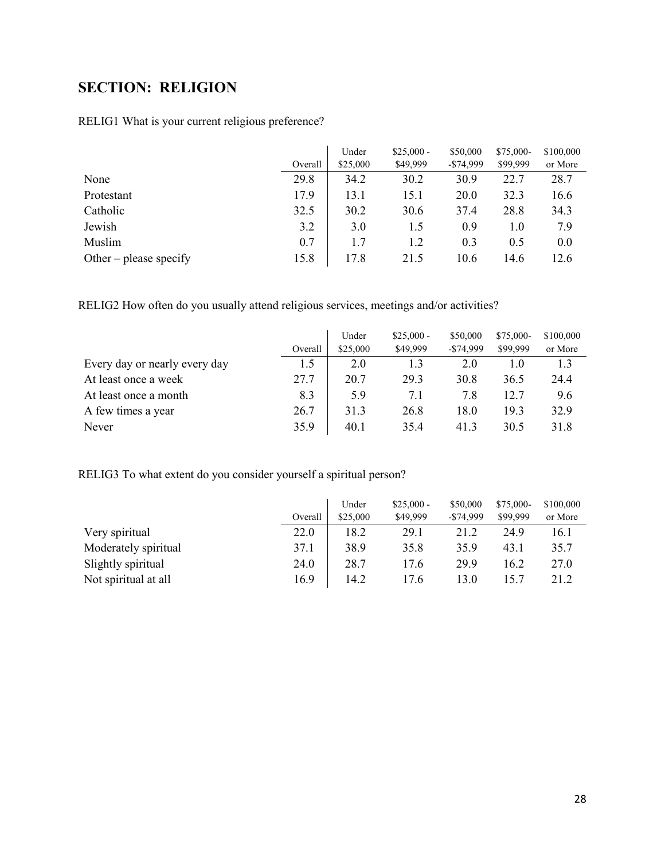# <span id="page-27-0"></span>**SECTION: RELIGION**

## RELIG1 What is your current religious preference?

|                        |         | Under    | $$25,000 -$ | \$50,000   | \$75,000- | \$100,000 |
|------------------------|---------|----------|-------------|------------|-----------|-----------|
|                        | Overall | \$25,000 | \$49,999    | $-$74.999$ | \$99,999  | or More   |
| None                   | 29.8    | 34.2     | 30.2        | 30.9       | 22.7      | 28.7      |
| Protestant             | 17.9    | 13.1     | 15.1        | 20.0       | 32.3      | 16.6      |
| Catholic               | 32.5    | 30.2     | 30.6        | 37.4       | 28.8      | 34.3      |
| Jewish                 | 3.2     | 3.0      | 1.5         | 0.9        | 1.0       | 7.9       |
| Muslim                 | 0.7     | 1.7      | 1.2         | 0.3        | 0.5       | 0.0       |
| Other – please specify | 15.8    | 17.8     | 21.5        | 10.6       | 14.6      | 12.6      |

RELIG2 How often do you usually attend religious services, meetings and/or activities?

|                               |         | Under    | $$25,000 -$ | \$50,000     | $$75,000-$ | \$100,000 |
|-------------------------------|---------|----------|-------------|--------------|------------|-----------|
|                               | Overall | \$25,000 | \$49,999    | $-$ \$74,999 | \$99,999   | or More   |
| Every day or nearly every day | 1.5     | 2.0      | 1.3         | 2.0          | 1.0        | 1.3       |
| At least once a week          | 27.7    | 20.7     | 29.3        | 30.8         | 36.5       | 24.4      |
| At least once a month         | 8.3     | 5.9      | 7.1         | 7.8          | 12.7       | 9.6       |
| A few times a year            | 26.7    | 31.3     | 26.8        | 18.0         | 19.3       | 32.9      |
| Never                         | 35.9    | 40.1     | 35.4        | 41.3         | 30.5       | 31.8      |

RELIG3 To what extent do you consider yourself a spiritual person?

|                      |         | Under    | $$25,000 -$ | \$50,000     | \$75,000- | \$100,000 |
|----------------------|---------|----------|-------------|--------------|-----------|-----------|
|                      | Overall | \$25,000 | \$49,999    | $-$ \$74,999 | \$99,999  | or More   |
| Very spiritual       | 22.0    | 18.2     | 29.1        | 21.2         | 24.9      | 16.1      |
| Moderately spiritual | 37.1    | 38.9     | 35.8        | 35.9         | 43.1      | 35.7      |
| Slightly spiritual   | 24.0    | 28.7     | 17.6        | 29.9         | 16.2      | 27.0      |
| Not spiritual at all | 16.9    | 14.2     | 17.6        | 13.0         | 15.7      | 21.2      |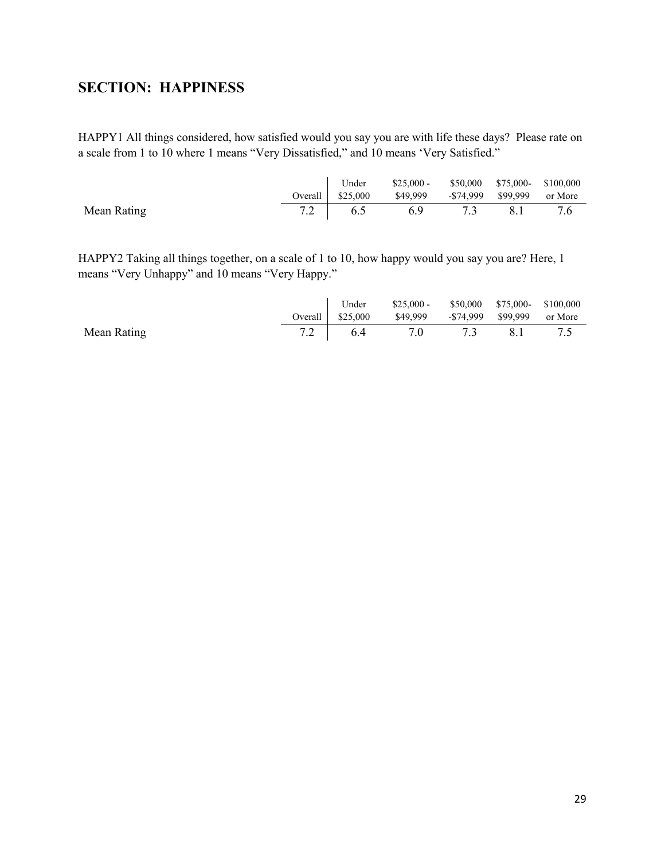# <span id="page-28-0"></span>**SECTION: HAPPINESS**

HAPPY1 All things considered, how satisfied would you say you are with life these days? Please rate on a scale from 1 to 10 where 1 means "Very Dissatisfied," and 10 means 'Very Satisfied."

|             |                   | Under $$25,000 - $50,000$ $$75,000 - $100,000$ |     |     |     |
|-------------|-------------------|------------------------------------------------|-----|-----|-----|
|             | Overall $$25,000$ | \$49,999 - \$74,999 \$99,999 or More           |     |     |     |
| Mean Rating | $7.2$ 6.5         | 6.9                                            | 7.3 | 8.1 | 7.6 |

HAPPY2 Taking all things together, on a scale of 1 to 10, how happy would you say you are? Here, 1 means "Very Unhappy" and 10 means "Very Happy."

|             |           | Under $$25,000 - $50,000$ $$75,000 - $100,000$ |     |     |  |
|-------------|-----------|------------------------------------------------|-----|-----|--|
|             |           |                                                |     |     |  |
| Mean Rating | $7.2$ 6.4 | 7.0                                            | 7.3 | 8.1 |  |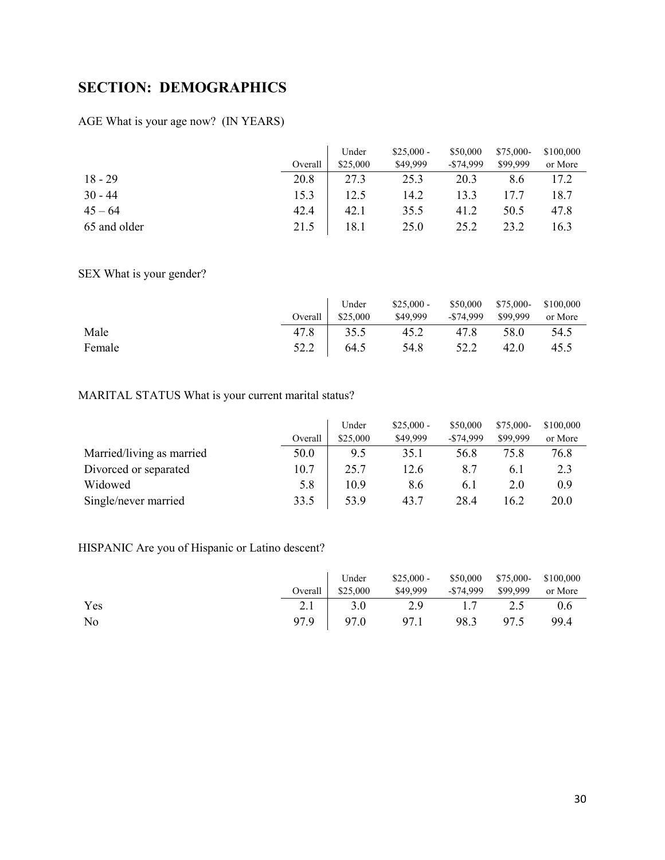# <span id="page-29-0"></span>**SECTION: DEMOGRAPHICS**

## AGE What is your age now? (IN YEARS)

|              |         | Under    | $$25,000 -$ | \$50,000     | $$75,000-$ | \$100,000 |
|--------------|---------|----------|-------------|--------------|------------|-----------|
|              | Overall | \$25,000 | \$49,999    | $-$ \$74,999 | \$99,999   | or More   |
| $18 - 29$    | 20.8    | 27.3     | 25.3        | 20.3         | 8.6        | 17.2      |
| $30 - 44$    | 15.3    | 12.5     | 14.2        | 13.3         | 17.7       | 18.7      |
| $45 - 64$    | 42.4    | 42.1     | 35.5        | 41.2         | 50.5       | 47.8      |
| 65 and older | 21.5    | 18.1     | 25.0        | 25.2         | 23.2       | 16.3      |

SEX What is your gender?

|        |      | Under             | $$25,000 - $50,000$ $$75,000 - $100,000$ |                    |      |         |
|--------|------|-------------------|------------------------------------------|--------------------|------|---------|
|        |      | Overall $$25,000$ | \$49,999                                 | -\$74,999 \$99,999 |      | or More |
| Male   | 47.8 | 35.5              | 45.2                                     | 47.8               | 58.0 | 54.5    |
| Female |      | 52.2 64.5         | 54.8                                     | 52.2               | 42.0 | 45.5    |

## MARITAL STATUS What is your current marital status?

|                           | Overall | Under<br>\$25,000 | $$25,000 -$<br>\$49,999 | \$50,000<br>$-$ \$74,999 | $$75,000-$<br>\$99,999 | \$100,000<br>or More |
|---------------------------|---------|-------------------|-------------------------|--------------------------|------------------------|----------------------|
|                           |         |                   |                         |                          |                        |                      |
| Married/living as married | 50.0    | 9.5               | 35.1                    | 56.8                     | 75.8                   | 76.8                 |
| Divorced or separated     | 10.7    | 25.7              | 12.6                    | 8.7                      | 6.1                    | 2.3                  |
| Widowed                   | 5.8     | 10.9              | 8.6                     | 6.1                      | 2.0                    | 0.9                  |
| Single/never married      | 33.5    | 53.9              | 43.7                    | 28.4                     | 16.2                   | 20.0                 |

### HISPANIC Are you of Hispanic or Latino descent?

|     |  | Under \$25,000 - \$50,000 \$75,000 \$100,000<br>Special \$25,000 \$49,999 - \$74,999 \$99,999 or More |  |        |
|-----|--|-------------------------------------------------------------------------------------------------------|--|--------|
| Yes |  | 2.1 3.0 2.9 1.7 2.5                                                                                   |  | 0.6    |
| No  |  | 97.9 97.0 97.1 98.3 97.5                                                                              |  | - 99.4 |